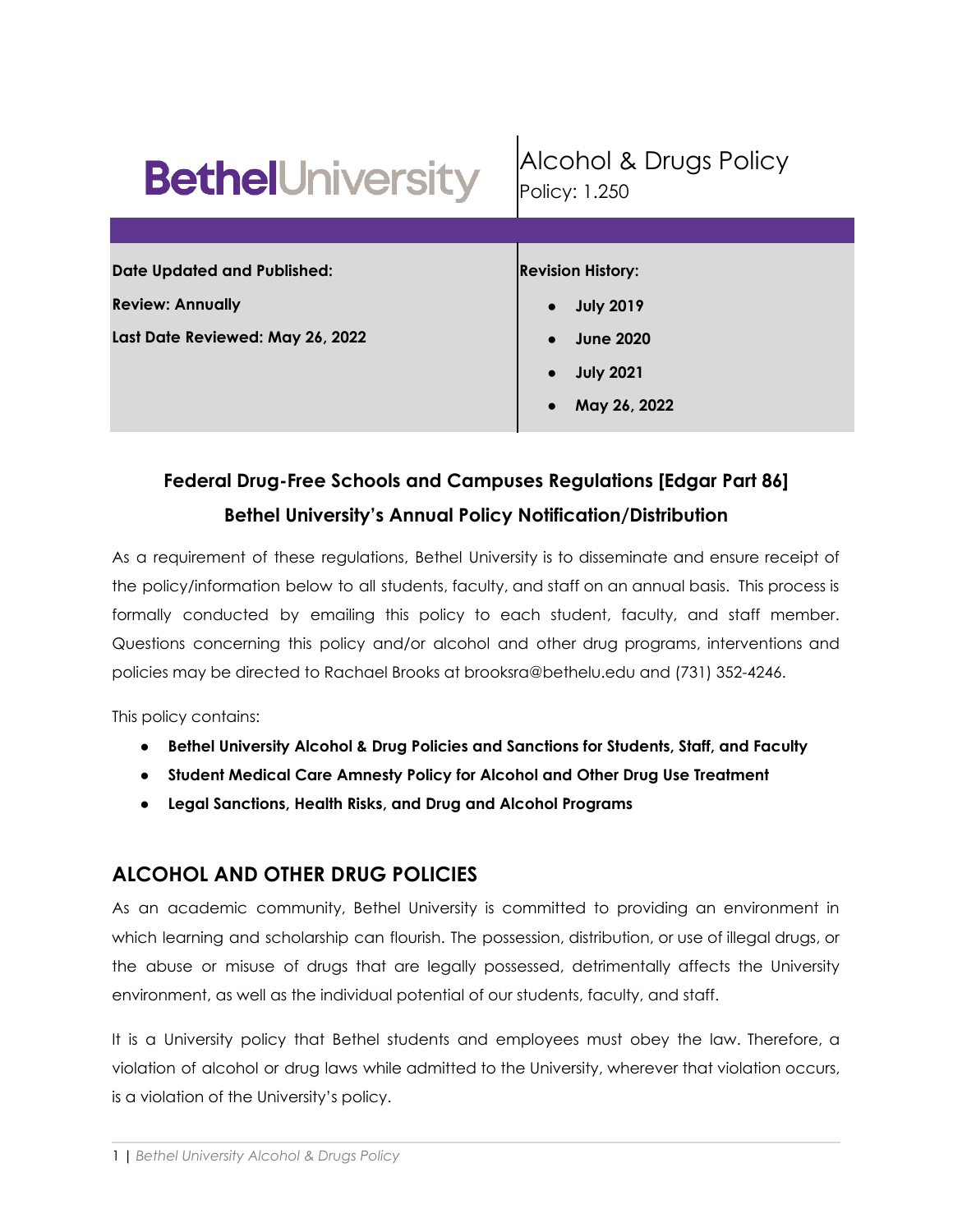| <b>BethelUniversity</b>            | Alcohol & Drugs Policy<br>Policy: 1.250 |  |  |
|------------------------------------|-----------------------------------------|--|--|
|                                    |                                         |  |  |
| <b>Date Updated and Published:</b> | <b>Revision History:</b>                |  |  |
| <b>Review: Annually</b>            | <b>July 2019</b>                        |  |  |
| Last Date Reviewed: May 26, 2022   | <b>June 2020</b>                        |  |  |
|                                    | <b>July 2021</b>                        |  |  |
|                                    | May 26, 2022                            |  |  |

# **Federal Drug-Free Schools and Campuses Regulations [Edgar Part 86] Bethel University's Annual Policy Notification/Distribution**

As a requirement of these regulations, Bethel University is to disseminate and ensure receipt of the policy/information below to all students, faculty, and staff on an annual basis. This process is formally conducted by emailing this policy to each student, faculty, and staff member. Questions concerning this policy and/or alcohol and other drug programs, interventions and policies may be directed to Rachael Brooks at brooksra@bethelu.edu and (731) 352-4246.

This policy contains:

- **● Bethel University Alcohol & Drug Policies and Sanctions for Students, Staff, and Faculty**
- **● Student Medical Care Amnesty Policy for Alcohol and Other Drug Use Treatment**
- **Legal Sanctions, Health Risks, and Drug and Alcohol Programs**

# **ALCOHOL AND OTHER DRUG POLICIES**

As an academic community, Bethel University is committed to providing an environment in which learning and scholarship can flourish. The possession, distribution, or use of illegal drugs, or the abuse or misuse of drugs that are legally possessed, detrimentally affects the University environment, as well as the individual potential of our students, faculty, and staff.

It is a University policy that Bethel students and employees must obey the law. Therefore, a violation of alcohol or drug laws while admitted to the University, wherever that violation occurs, is a violation of the University's policy.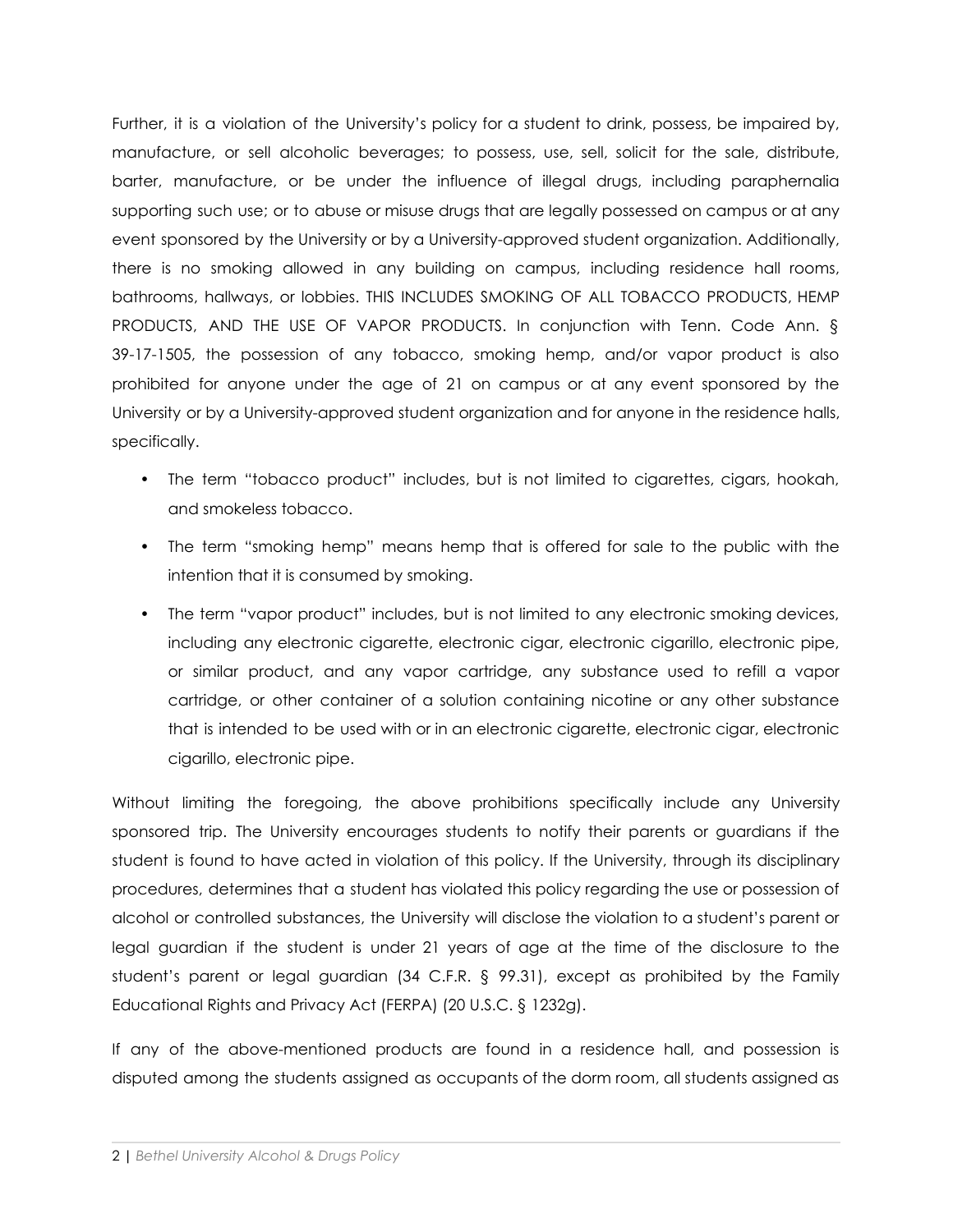Further, it is a violation of the University's policy for a student to drink, possess, be impaired by, manufacture, or sell alcoholic beverages; to possess, use, sell, solicit for the sale, distribute, barter, manufacture, or be under the influence of illegal drugs, including paraphernalia supporting such use; or to abuse or misuse drugs that are legally possessed on campus or at any event sponsored by the University or by a University-approved student organization. Additionally, there is no smoking allowed in any building on campus, including residence hall rooms, bathrooms, hallways, or lobbies. THIS INCLUDES SMOKING OF ALL TOBACCO PRODUCTS, HEMP PRODUCTS, AND THE USE OF VAPOR PRODUCTS. In conjunction with Tenn. Code Ann. § 39-17-1505, the possession of any tobacco, smoking hemp, and/or vapor product is also prohibited for anyone under the age of 21 on campus or at any event sponsored by the University or by a University-approved student organization and for anyone in the residence halls, specifically.

- The term "tobacco product" includes, but is not limited to cigarettes, cigars, hookah, and smokeless tobacco.
- The term "smoking hemp" means hemp that is offered for sale to the public with the intention that it is consumed by smoking.
- The term "vapor product" includes, but is not limited to any electronic smoking devices, including any electronic cigarette, electronic cigar, electronic cigarillo, electronic pipe, or similar product, and any vapor cartridge, any substance used to refill a vapor cartridge, or other container of a solution containing nicotine or any other substance that is intended to be used with or in an electronic cigarette, electronic cigar, electronic cigarillo, electronic pipe.

Without limiting the foregoing, the above prohibitions specifically include any University sponsored trip. The University encourages students to notify their parents or guardians if the student is found to have acted in violation of this policy. If the University, through its disciplinary procedures, determines that a student has violated this policy regarding the use or possession of alcohol or controlled substances, the University will disclose the violation to a student's parent or legal guardian if the student is under 21 years of age at the time of the disclosure to the student's parent or legal guardian (34 C.F.R. § 99.31), except as prohibited by the Family Educational Rights and Privacy Act (FERPA) (20 U.S.C. § 1232g).

If any of the above-mentioned products are found in a residence hall, and possession is disputed among the students assigned as occupants of the dorm room, all students assigned as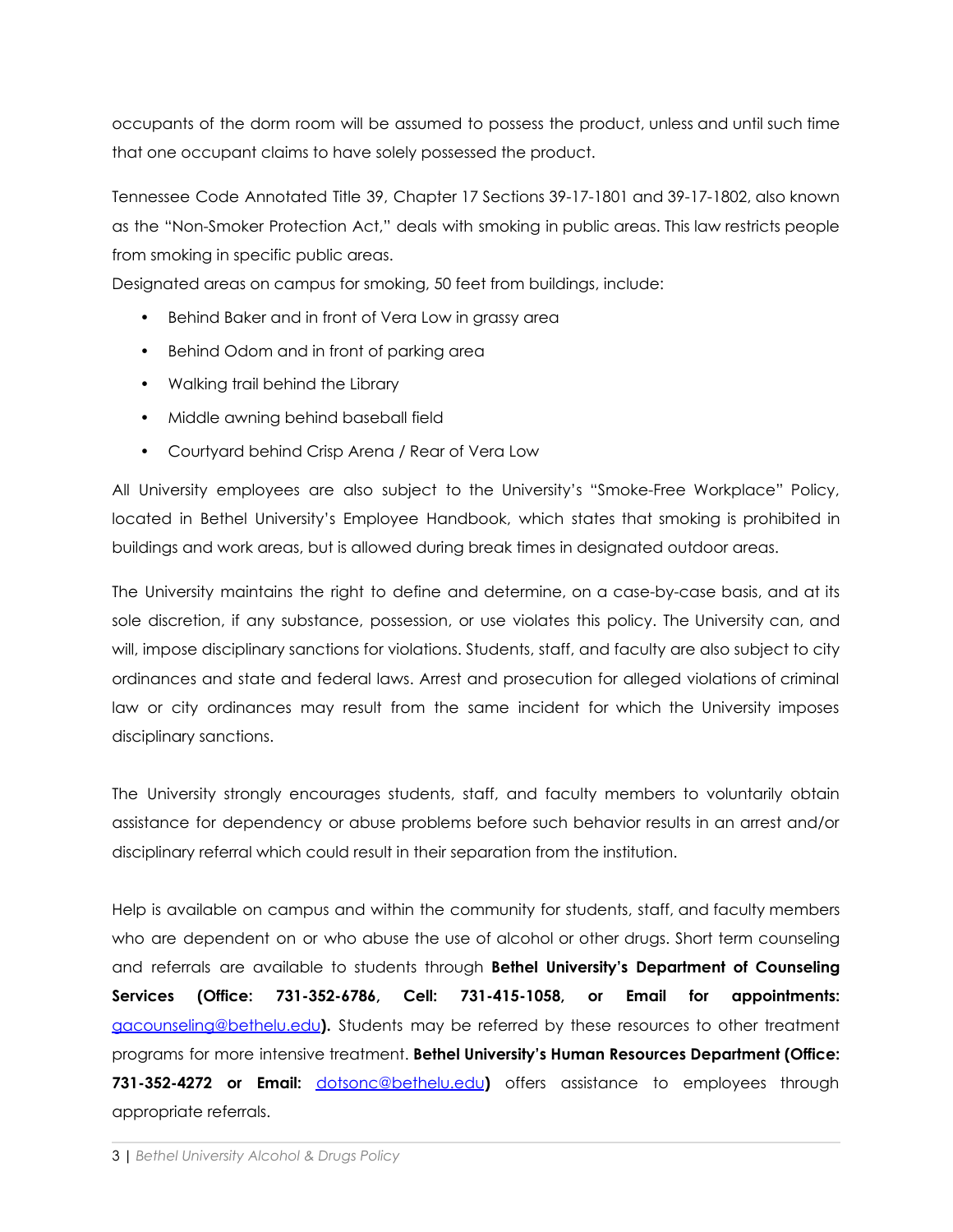occupants of the dorm room will be assumed to possess the product, unless and until such time that one occupant claims to have solely possessed the product.

Tennessee Code Annotated Title 39, Chapter 17 Sections 39-17-1801 and 39-17-1802, also known as the "Non-Smoker Protection Act," deals with smoking in public areas. This law restricts people from smoking in specific public areas.

Designated areas on campus for smoking, 50 feet from buildings, include:

- Behind Baker and in front of Vera Low in grassy area
- Behind Odom and in front of parking area
- Walking trail behind the Library
- Middle awning behind baseball field
- Courtyard behind Crisp Arena / Rear of Vera Low

All University employees are also subject to the University's "Smoke-Free Workplace" Policy, located in Bethel University's Employee Handbook, which states that smoking is prohibited in buildings and work areas, but is allowed during break times in designated outdoor areas.

The University maintains the right to define and determine, on a case-by-case basis, and at its sole discretion, if any substance, possession, or use violates this policy. The University can, and will, impose disciplinary sanctions for violations. Students, staff, and faculty are also subject to city ordinances and state and federal laws. Arrest and prosecution for alleged violations of criminal law or city ordinances may result from the same incident for which the University imposes disciplinary sanctions.

The University strongly encourages students, staff, and faculty members to voluntarily obtain assistance for dependency or abuse problems before such behavior results in an arrest and/or disciplinary referral which could result in their separation from the institution.

Help is available on campus and within the community for students, staff, and faculty members who are dependent on or who abuse the use of alcohol or other drugs. Short term counseling and referrals are available to students through **Bethel University's Department of Counseling Services (Office: 731-352-6786, Cell: 731-415-1058, or Email for appointments:** [gacounseling@bethelu.edu](mailto:gacounseling@bethelu.edu)**).** Students may be referred by these resources to other treatment programs for more intensive treatment. **Bethel University's Human Resources Department (Office: 731-352-4272 or Email:** [dotsonc@bethelu.edu](mailto:dotsonc@bethelu.edu)**)** offers assistance to employees through appropriate referrals.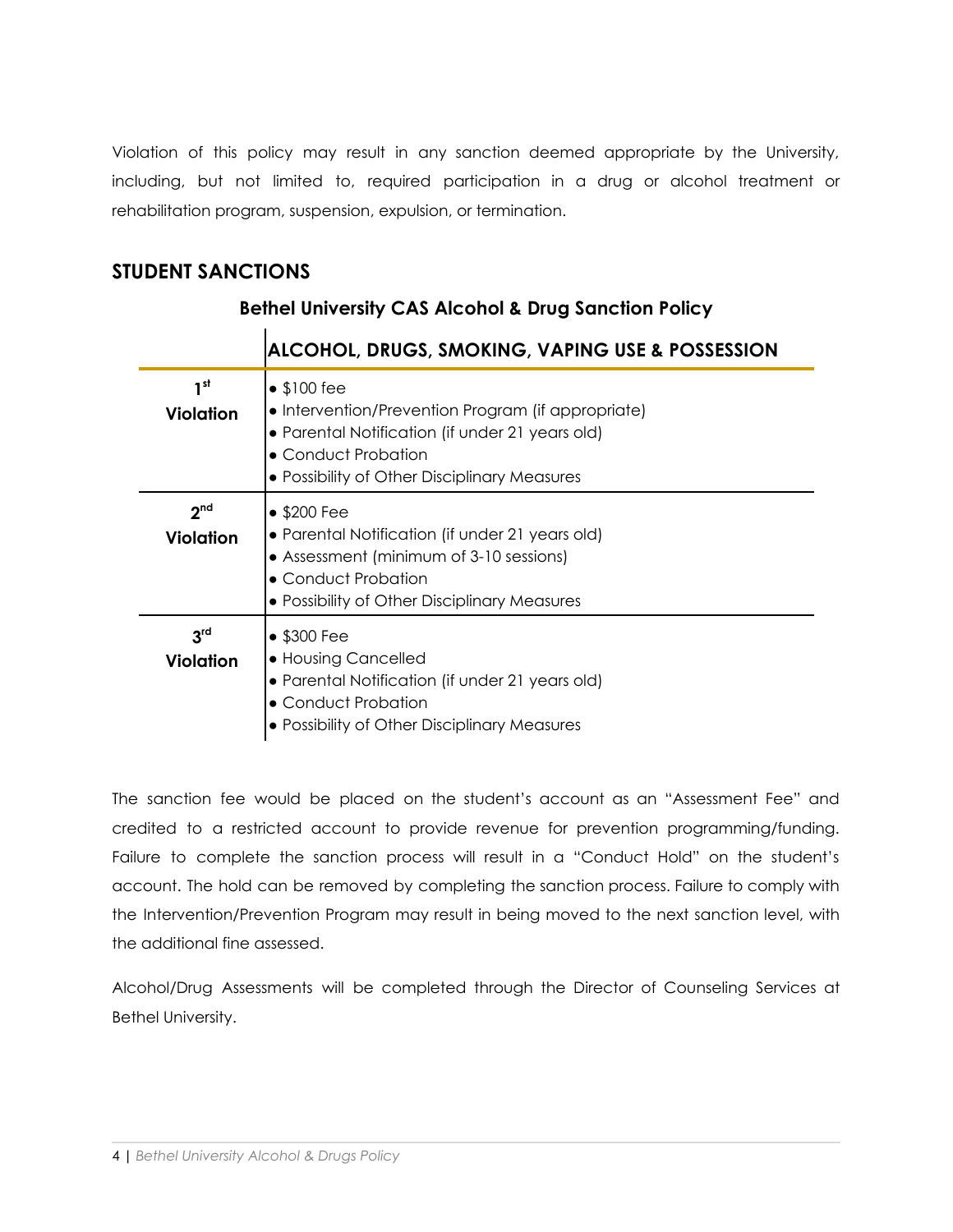Violation of this policy may result in any sanction deemed appropriate by the University, including, but not limited to, required participation in a drug or alcohol treatment or rehabilitation program, suspension, expulsion, or termination.

# **STUDENT SANCTIONS**

|                                     | <b>ALCOHOL, DRUGS, SMOKING, VAPING USE &amp; POSSESSION</b>                                                                                                                                         |
|-------------------------------------|-----------------------------------------------------------------------------------------------------------------------------------------------------------------------------------------------------|
| 1st<br>Violation                    | $\bullet$ \$100 fee<br>• Intervention/Prevention Program (if appropriate)<br>• Parental Notification (if under 21 years old)<br>• Conduct Probation<br>• Possibility of Other Disciplinary Measures |
| 2 <sup>nd</sup><br>Violation        | $\bullet$ \$200 Fee<br>• Parental Notification (if under 21 years old)<br>• Assessment (minimum of 3-10 sessions)<br>• Conduct Probation<br>• Possibility of Other Disciplinary Measures            |
| 3 <sup>rd</sup><br><b>Violation</b> | $\bullet$ \$300 Fee<br>• Housing Cancelled<br>• Parental Notification (if under 21 years old)<br>• Conduct Probation<br>• Possibility of Other Disciplinary Measures                                |

# **Bethel University CAS Alcohol & Drug Sanction Policy**

The sanction fee would be placed on the student's account as an "Assessment Fee" and credited to a restricted account to provide revenue for prevention programming/funding. Failure to complete the sanction process will result in a "Conduct Hold" on the student's account. The hold can be removed by completing the sanction process. Failure to comply with the Intervention/Prevention Program may result in being moved to the next sanction level, with the additional fine assessed.

Alcohol/Drug Assessments will be completed through the Director of Counseling Services at Bethel University.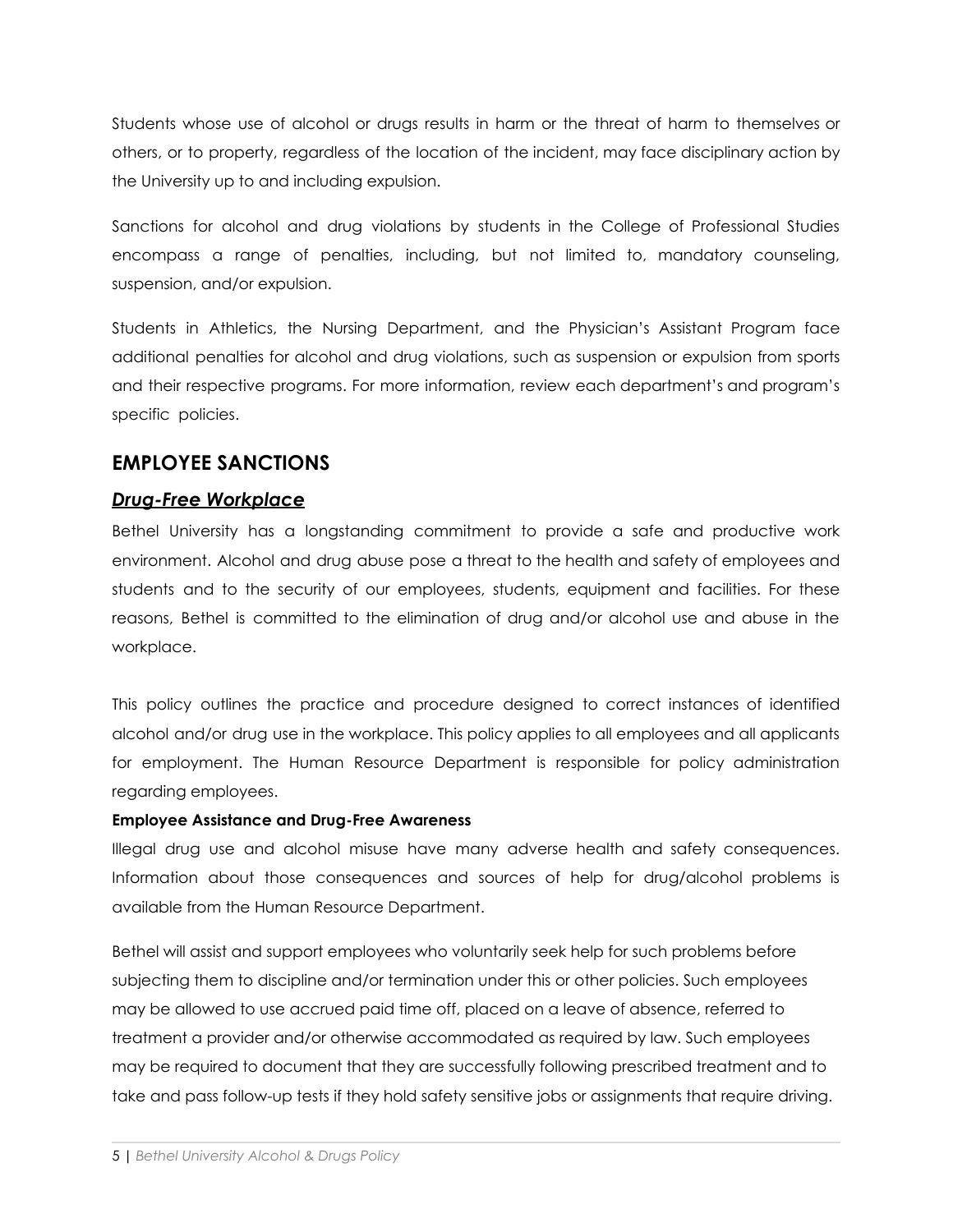Students whose use of alcohol or drugs results in harm or the threat of harm to themselves or others, or to property, regardless of the location of the incident, may face disciplinary action by the University up to and including expulsion.

Sanctions for alcohol and drug violations by students in the College of Professional Studies encompass a range of penalties, including, but not limited to, mandatory counseling, suspension, and/or expulsion.

Students in Athletics, the Nursing Department, and the Physician's Assistant Program face additional penalties for alcohol and drug violations, such as suspension or expulsion from sports and their respective programs. For more information, review each department's and program's specific policies.

# **EMPLOYEE SANCTIONS**

# *Drug-Free Workplace*

Bethel University has a longstanding commitment to provide a safe and productive work environment. Alcohol and drug abuse pose a threat to the health and safety of employees and students and to the security of our employees, students, equipment and facilities. For these reasons, Bethel is committed to the elimination of drug and/or alcohol use and abuse in the workplace.

This policy outlines the practice and procedure designed to correct instances of identified alcohol and/or drug use in the workplace. This policy applies to all employees and all applicants for employment. The Human Resource Department is responsible for policy administration regarding employees.

#### **Employee Assistance and Drug-Free Awareness**

Illegal drug use and alcohol misuse have many adverse health and safety consequences. Information about those consequences and sources of help for drug/alcohol problems is available from the Human Resource Department.

Bethel will assist and support employees who voluntarily seek help for such problems before subjecting them to discipline and/or termination under this or other policies. Such employees may be allowed to use accrued paid time off, placed on a leave of absence, referred to treatment a provider and/or otherwise accommodated as required by law. Such employees may be required to document that they are successfully following prescribed treatment and to take and pass follow-up tests if they hold safety sensitive jobs or assignments that require driving.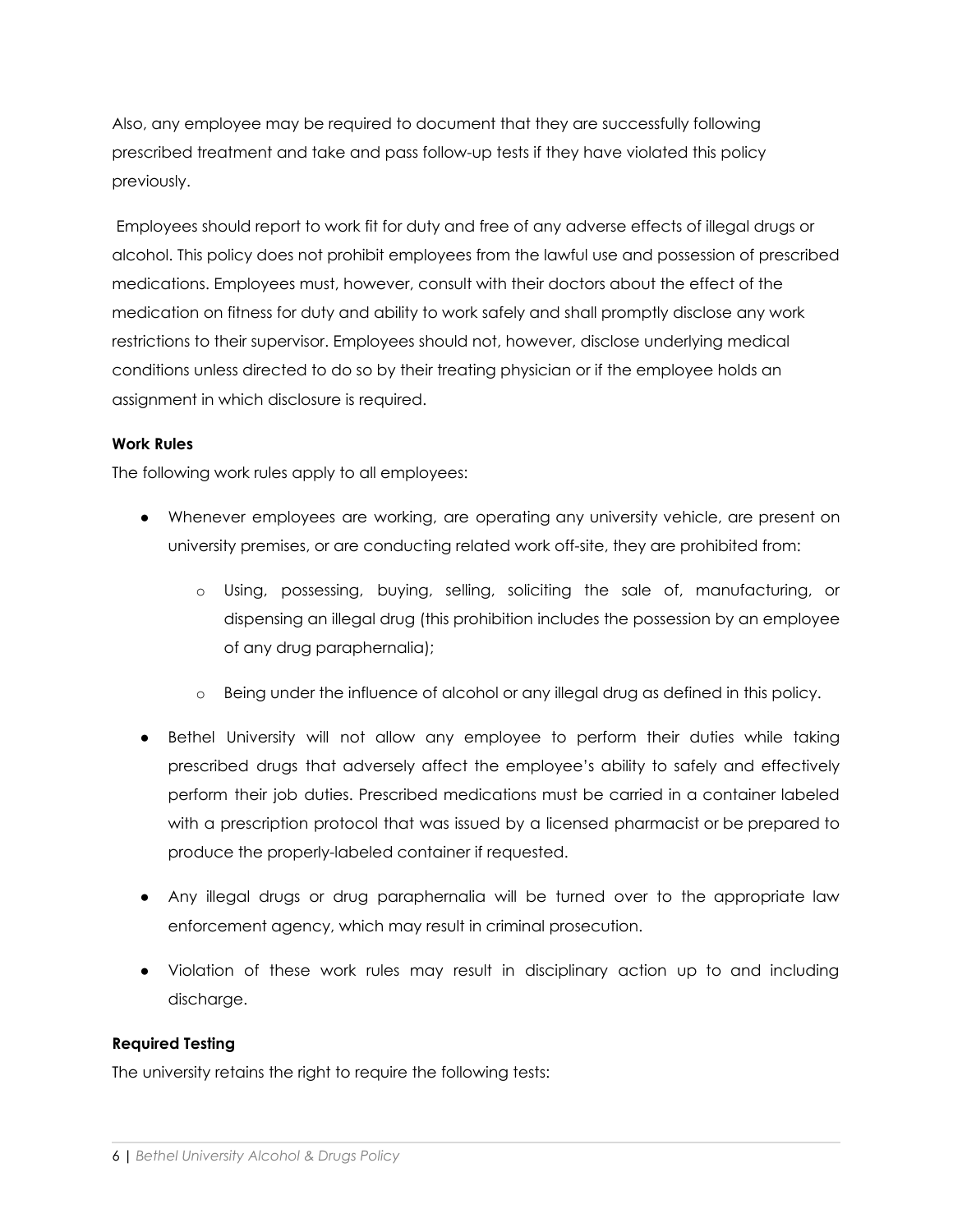Also, any employee may be required to document that they are successfully following prescribed treatment and take and pass follow-up tests if they have violated this policy previously.

Employees should report to work fit for duty and free of any adverse effects of illegal drugs or alcohol. This policy does not prohibit employees from the lawful use and possession of prescribed medications. Employees must, however, consult with their doctors about the effect of the medication on fitness for duty and ability to work safely and shall promptly disclose any work restrictions to their supervisor. Employees should not, however, disclose underlying medical conditions unless directed to do so by their treating physician or if the employee holds an assignment in which disclosure is required.

#### **Work Rules**

The following work rules apply to all employees:

- Whenever employees are working, are operating any university vehicle, are present on university premises, or are conducting related work off-site, they are prohibited from:
	- o Using, possessing, buying, selling, soliciting the sale of, manufacturing, or dispensing an illegal drug (this prohibition includes the possession by an employee of any drug paraphernalia);
	- o Being under the influence of alcohol or any illegal drug as defined in this policy.
- Bethel University will not allow any employee to perform their duties while taking prescribed drugs that adversely affect the employee's ability to safely and effectively perform their job duties. Prescribed medications must be carried in a container labeled with a prescription protocol that was issued by a licensed pharmacist or be prepared to produce the properly-labeled container if requested.
- Any illegal drugs or drug paraphernalia will be turned over to the appropriate law enforcement agency, which may result in criminal prosecution.
- Violation of these work rules may result in disciplinary action up to and including discharge.

#### **Required Testing**

The university retains the right to require the following tests: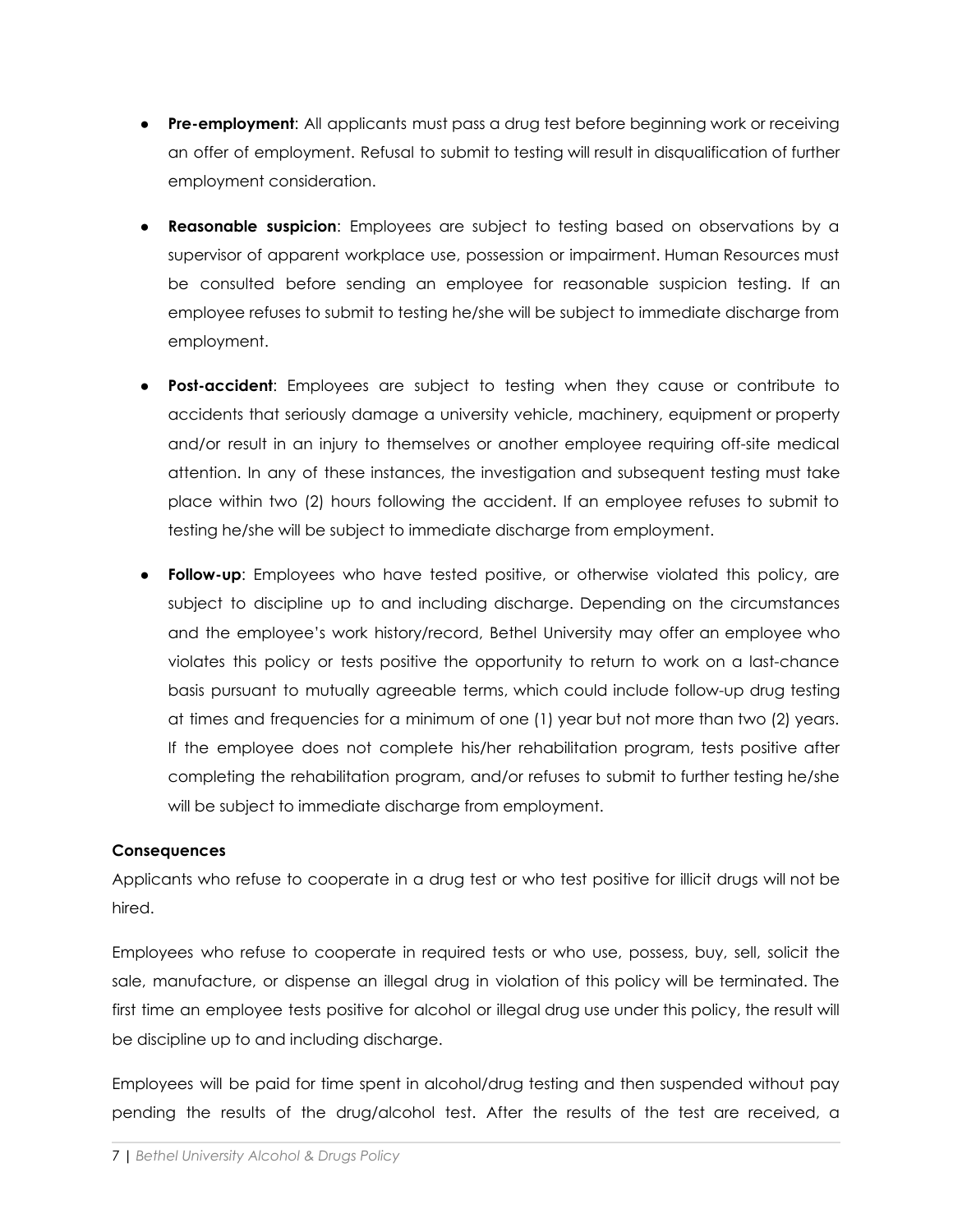- **Pre-employment**: All applicants must pass a drug test before beginning work or receiving an offer of employment. Refusal to submit to testing will result in disqualification of further employment consideration.
- **Reasonable suspicion:** Employees are subject to testing based on observations by a supervisor of apparent workplace use, possession or impairment. Human Resources must be consulted before sending an employee for reasonable suspicion testing. If an employee refuses to submit to testing he/she will be subject to immediate discharge from employment.
- **Post-accident**: Employees are subject to testing when they cause or contribute to accidents that seriously damage a university vehicle, machinery, equipment or property and/or result in an injury to themselves or another employee requiring off-site medical attention. In any of these instances, the investigation and subsequent testing must take place within two (2) hours following the accident. If an employee refuses to submit to testing he/she will be subject to immediate discharge from employment.
- **Follow-up**: Employees who have tested positive, or otherwise violated this policy, are subject to discipline up to and including discharge. Depending on the circumstances and the employee's work history/record, Bethel University may offer an employee who violates this policy or tests positive the opportunity to return to work on a last-chance basis pursuant to mutually agreeable terms, which could include follow-up drug testing at times and frequencies for a minimum of one (1) year but not more than two (2) years. If the employee does not complete his/her rehabilitation program, tests positive after completing the rehabilitation program, and/or refuses to submit to further testing he/she will be subject to immediate discharge from employment.

#### **Consequences**

Applicants who refuse to cooperate in a drug test or who test positive for illicit drugs will not be hired.

Employees who refuse to cooperate in required tests or who use, possess, buy, sell, solicit the sale, manufacture, or dispense an illegal drug in violation of this policy will be terminated. The first time an employee tests positive for alcohol or illegal drug use under this policy, the result will be discipline up to and including discharge.

Employees will be paid for time spent in alcohol/drug testing and then suspended without pay pending the results of the drug/alcohol test. After the results of the test are received, a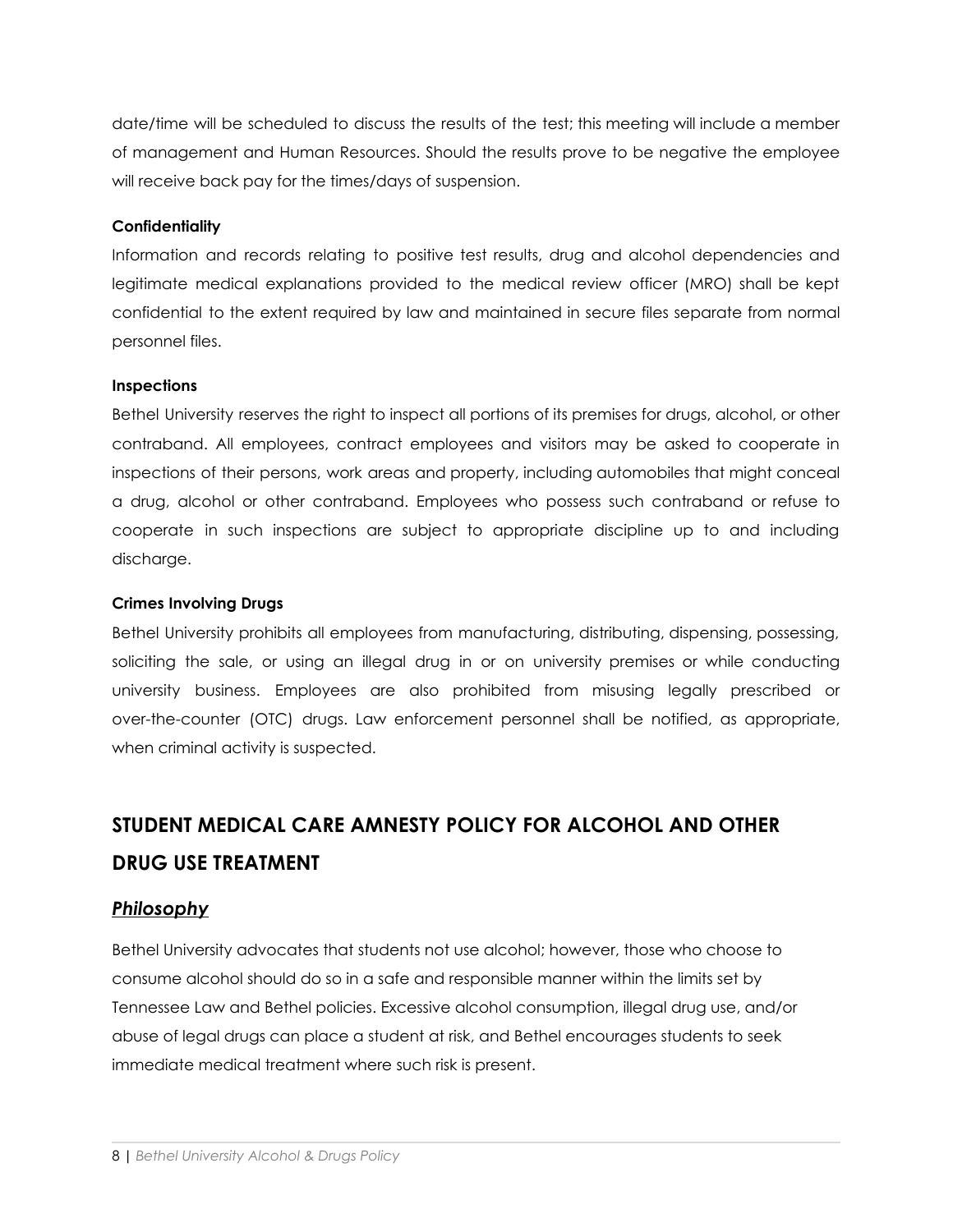date/time will be scheduled to discuss the results of the test; this meeting will include a member of management and Human Resources. Should the results prove to be negative the employee will receive back pay for the times/days of suspension.

#### **Confidentiality**

Information and records relating to positive test results, drug and alcohol dependencies and legitimate medical explanations provided to the medical review officer (MRO) shall be kept confidential to the extent required by law and maintained in secure files separate from normal personnel files.

#### **Inspections**

Bethel University reserves the right to inspect all portions of its premises for drugs, alcohol, or other contraband. All employees, contract employees and visitors may be asked to cooperate in inspections of their persons, work areas and property, including automobiles that might conceal a drug, alcohol or other contraband. Employees who possess such contraband or refuse to cooperate in such inspections are subject to appropriate discipline up to and including discharge.

#### **Crimes Involving Drugs**

Bethel University prohibits all employees from manufacturing, distributing, dispensing, possessing, soliciting the sale, or using an illegal drug in or on university premises or while conducting university business. Employees are also prohibited from misusing legally prescribed or over-the-counter (OTC) drugs. Law enforcement personnel shall be notified, as appropriate, when criminal activity is suspected.

# **STUDENT MEDICAL CARE AMNESTY POLICY FOR ALCOHOL AND OTHER DRUG USE TREATMENT**

#### *Philosophy*

Bethel University advocates that students not use alcohol; however, those who choose to consume alcohol should do so in a safe and responsible manner within the limits set by Tennessee Law and Bethel policies. Excessive alcohol consumption, illegal drug use, and/or abuse of legal drugs can place a student at risk, and Bethel encourages students to seek immediate medical treatment where such risk is present.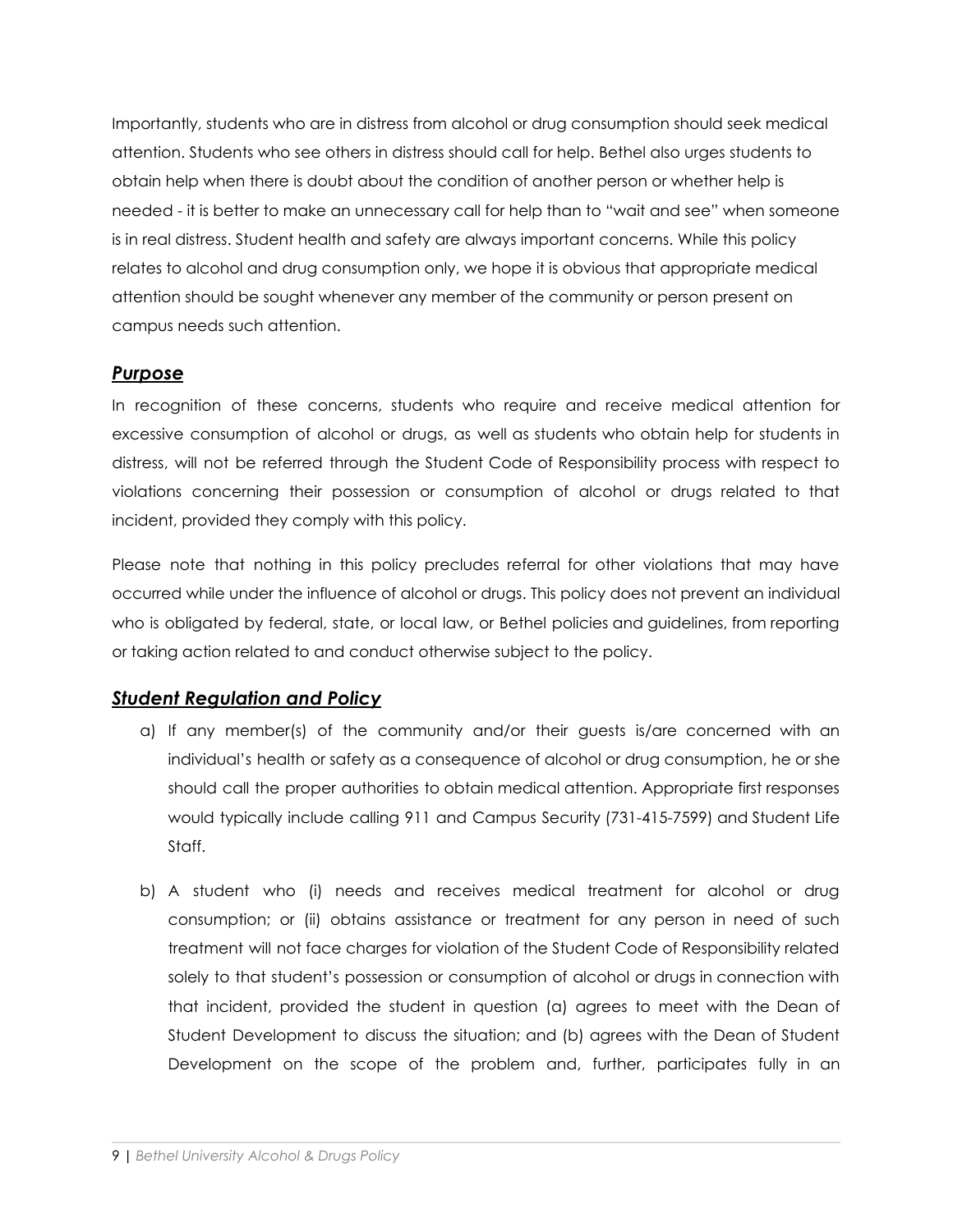Importantly, students who are in distress from alcohol or drug consumption should seek medical attention. Students who see others in distress should call for help. Bethel also urges students to obtain help when there is doubt about the condition of another person or whether help is needed - it is better to make an unnecessary call for help than to "wait and see" when someone is in real distress. Student health and safety are always important concerns. While this policy relates to alcohol and drug consumption only, we hope it is obvious that appropriate medical attention should be sought whenever any member of the community or person present on campus needs such attention.

# *Purpose*

In recognition of these concerns, students who require and receive medical attention for excessive consumption of alcohol or drugs, as well as students who obtain help for students in distress, will not be referred through the Student Code of Responsibility process with respect to violations concerning their possession or consumption of alcohol or drugs related to that incident, provided they comply with this policy.

Please note that nothing in this policy precludes referral for other violations that may have occurred while under the influence of alcohol or drugs. This policy does not prevent an individual who is obligated by federal, state, or local law, or Bethel policies and guidelines, from reporting or taking action related to and conduct otherwise subject to the policy.

# *Student Regulation and Policy*

- a) If any member(s) of the community and/or their guests is/are concerned with an individual's health or safety as a consequence of alcohol or drug consumption, he or she should call the proper authorities to obtain medical attention. Appropriate first responses would typically include calling 911 and Campus Security (731-415-7599) and Student Life Staff.
- b) A student who (i) needs and receives medical treatment for alcohol or drug consumption; or (ii) obtains assistance or treatment for any person in need of such treatment will not face charges for violation of the Student Code of Responsibility related solely to that student's possession or consumption of alcohol or drugs in connection with that incident, provided the student in question (a) agrees to meet with the Dean of Student Development to discuss the situation; and (b) agrees with the Dean of Student Development on the scope of the problem and, further, participates fully in an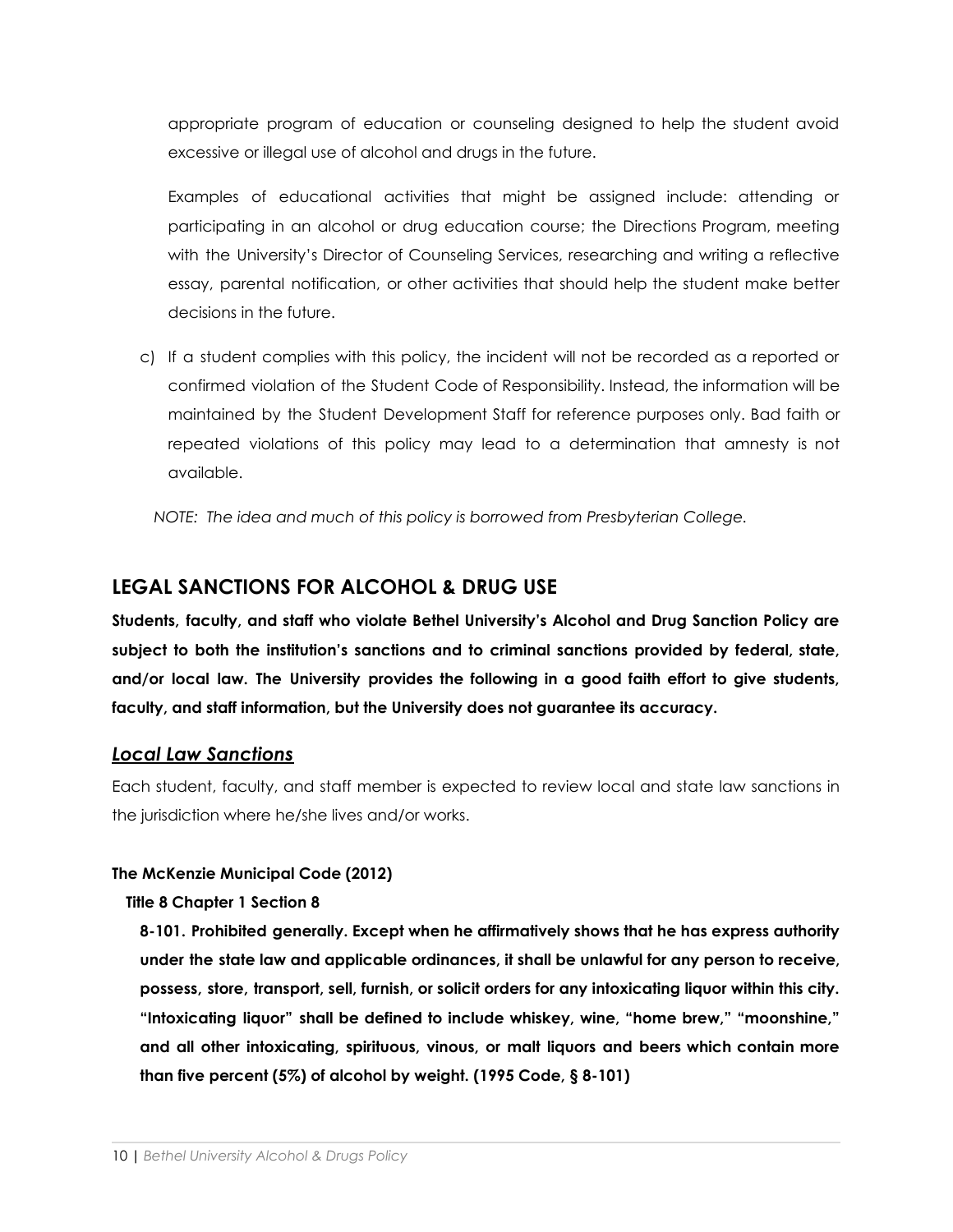appropriate program of education or counseling designed to help the student avoid excessive or illegal use of alcohol and drugs in the future.

Examples of educational activities that might be assigned include: attending or participating in an alcohol or drug education course; the Directions Program, meeting with the University's Director of Counseling Services, researching and writing a reflective essay, parental notification, or other activities that should help the student make better decisions in the future.

c) If a student complies with this policy, the incident will not be recorded as a reported or confirmed violation of the Student Code of Responsibility. Instead, the information will be maintained by the Student Development Staff for reference purposes only. Bad faith or repeated violations of this policy may lead to a determination that amnesty is not available.

*NOTE: The idea and much of this policy is borrowed from Presbyterian College.*

# **LEGAL SANCTIONS FOR ALCOHOL & DRUG USE**

**Students, faculty, and staff who violate Bethel University's Alcohol and Drug Sanction Policy are subject to both the institution's sanctions and to criminal sanctions provided by federal, state, and/or local law. The University provides the following in a good faith effort to give students, faculty, and staff information, but the University does not guarantee its accuracy.**

### *Local Law Sanctions*

Each student, faculty, and staff member is expected to review local and state law sanctions in the jurisdiction where he/she lives and/or works.

#### **The McKenzie Municipal Code (2012)**

#### **Title 8 Chapter 1 Section 8**

**8-101. Prohibited generally. Except when he affirmatively shows that he has express authority under the state law and applicable ordinances, it shall be unlawful for any person to receive, possess, store, transport, sell, furnish, or solicit orders for any intoxicating liquor within this city. "Intoxicating liquor" shall be defined to include whiskey, wine, "home brew," "moonshine," and all other intoxicating, spirituous, vinous, or malt liquors and beers which contain more than five percent (5%) of alcohol by weight. (1995 Code, § 8-101)**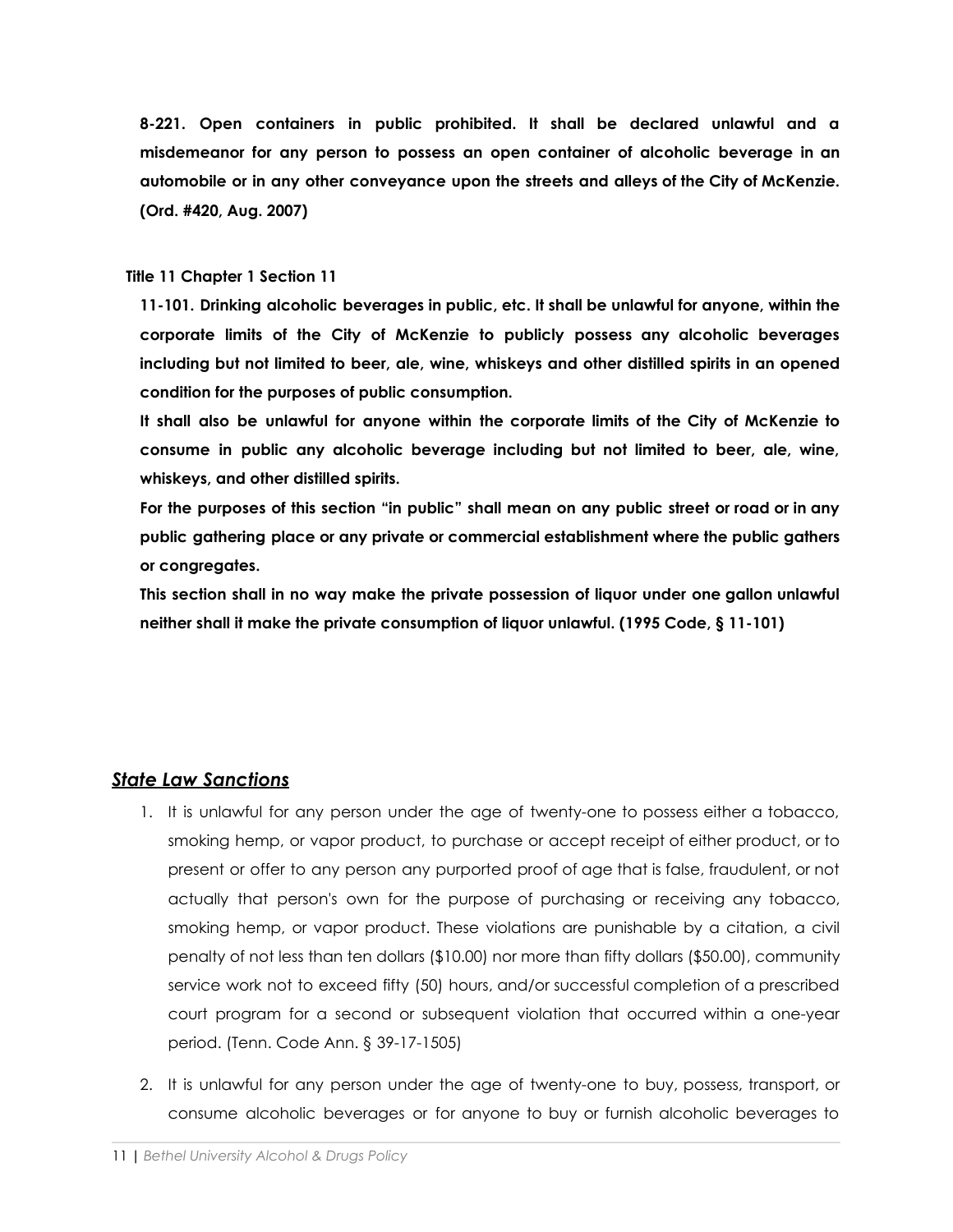**8-221. Open containers in public prohibited. It shall be declared unlawful and a misdemeanor for any person to possess an open container of alcoholic beverage in an automobile or in any other conveyance upon the streets and alleys of the City of McKenzie. (Ord. #420, Aug. 2007)**

#### **Title 11 Chapter 1 Section 11**

**11-101. Drinking alcoholic beverages in public, etc. It shall be unlawful for anyone, within the corporate limits of the City of McKenzie to publicly possess any alcoholic beverages including but not limited to beer, ale, wine, whiskeys and other distilled spirits in an opened condition for the purposes of public consumption.**

**It shall also be unlawful for anyone within the corporate limits of the City of McKenzie to consume in public any alcoholic beverage including but not limited to beer, ale, wine, whiskeys, and other distilled spirits.**

For the purposes of this section "in public" shall mean on any public street or road or in any **public gathering place or any private or commercial establishment where the public gathers or congregates.**

**This section shall in no way make the private possession of liquor under one gallon unlawful neither shall it make the private consumption of liquor unlawful. (1995 Code, § 11-101)**

# *State Law Sanctions*

- 1. It is unlawful for any person under the age of twenty-one to possess either a tobacco, smoking hemp, or vapor product, to purchase or accept receipt of either product, or to present or offer to any person any purported proof of age that is false, fraudulent, or not actually that person's own for the purpose of purchasing or receiving any tobacco, smoking hemp, or vapor product. These violations are punishable by a citation, a civil penalty of not less than ten dollars (\$10.00) nor more than fifty dollars (\$50.00), community service work not to exceed fifty (50) hours, and/or successful completion of a prescribed court program for a second or subsequent violation that occurred within a one-year period. (Tenn. Code Ann. § 39-17-1505)
- 2. It is unlawful for any person under the age of twenty-one to buy, possess, transport, or consume alcoholic beverages or for anyone to buy or furnish alcoholic beverages to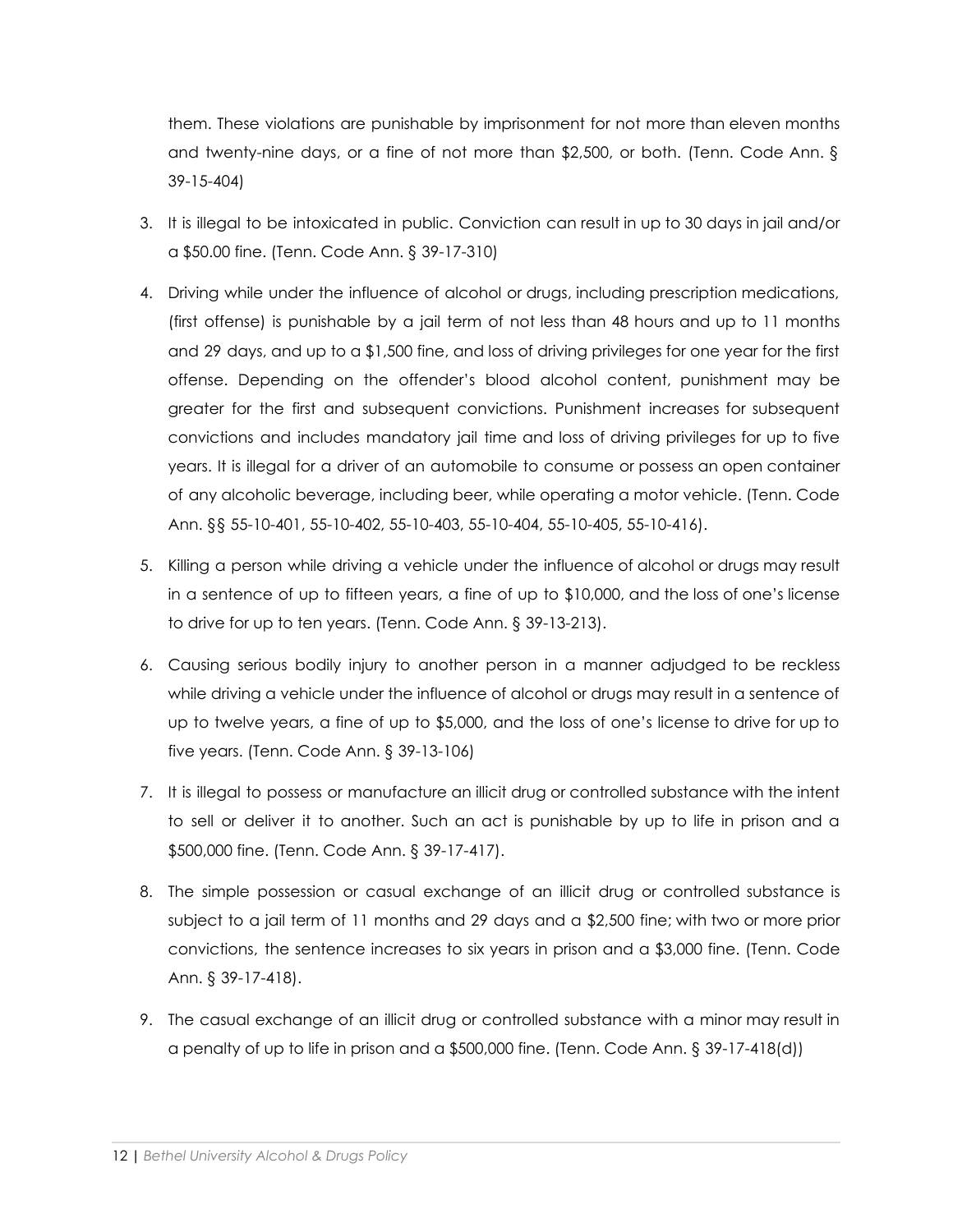them. These violations are punishable by imprisonment for not more than eleven months and twenty-nine days, or a fine of not more than \$2,500, or both. (Tenn. Code Ann. § 39-15-404)

- 3. It is illegal to be intoxicated in public. Conviction can result in up to 30 days in jail and/or a \$50.00 fine. (Tenn. Code Ann. § 39-17-310)
- 4. Driving while under the influence of alcohol or drugs, including prescription medications, (first offense) is punishable by a jail term of not less than 48 hours and up to 11 months and 29 days, and up to a \$1,500 fine, and loss of driving privileges for one year for the first offense. Depending on the offender's blood alcohol content, punishment may be greater for the first and subsequent convictions. Punishment increases for subsequent convictions and includes mandatory jail time and loss of driving privileges for up to five years. It is illegal for a driver of an automobile to consume or possess an open container of any alcoholic beverage, including beer, while operating a motor vehicle. (Tenn. Code Ann. §§ 55-10-401, 55-10-402, 55-10-403, 55-10-404, 55-10-405, 55-10-416).
- 5. Killing a person while driving a vehicle under the influence of alcohol or drugs may result in a sentence of up to fifteen years, a fine of up to \$10,000, and the loss of one's license to drive for up to ten years. (Tenn. Code Ann. § 39-13-213).
- 6. Causing serious bodily injury to another person in a manner adjudged to be reckless while driving a vehicle under the influence of alcohol or drugs may result in a sentence of up to twelve years, a fine of up to \$5,000, and the loss of one's license to drive for up to five years. (Tenn. Code Ann. § 39-13-106)
- 7. It is illegal to possess or manufacture an illicit drug or controlled substance with the intent to sell or deliver it to another. Such an act is punishable by up to life in prison and a \$500,000 fine. (Tenn. Code Ann. § 39-17-417).
- 8. The simple possession or casual exchange of an illicit drug or controlled substance is subject to a jail term of 11 months and 29 days and a \$2,500 fine; with two or more prior convictions, the sentence increases to six years in prison and a \$3,000 fine. (Tenn. Code Ann. § 39-17-418).
- 9. The casual exchange of an illicit drug or controlled substance with a minor may result in a penalty of up to life in prison and a \$500,000 fine. (Tenn. Code Ann. § 39-17-418(d))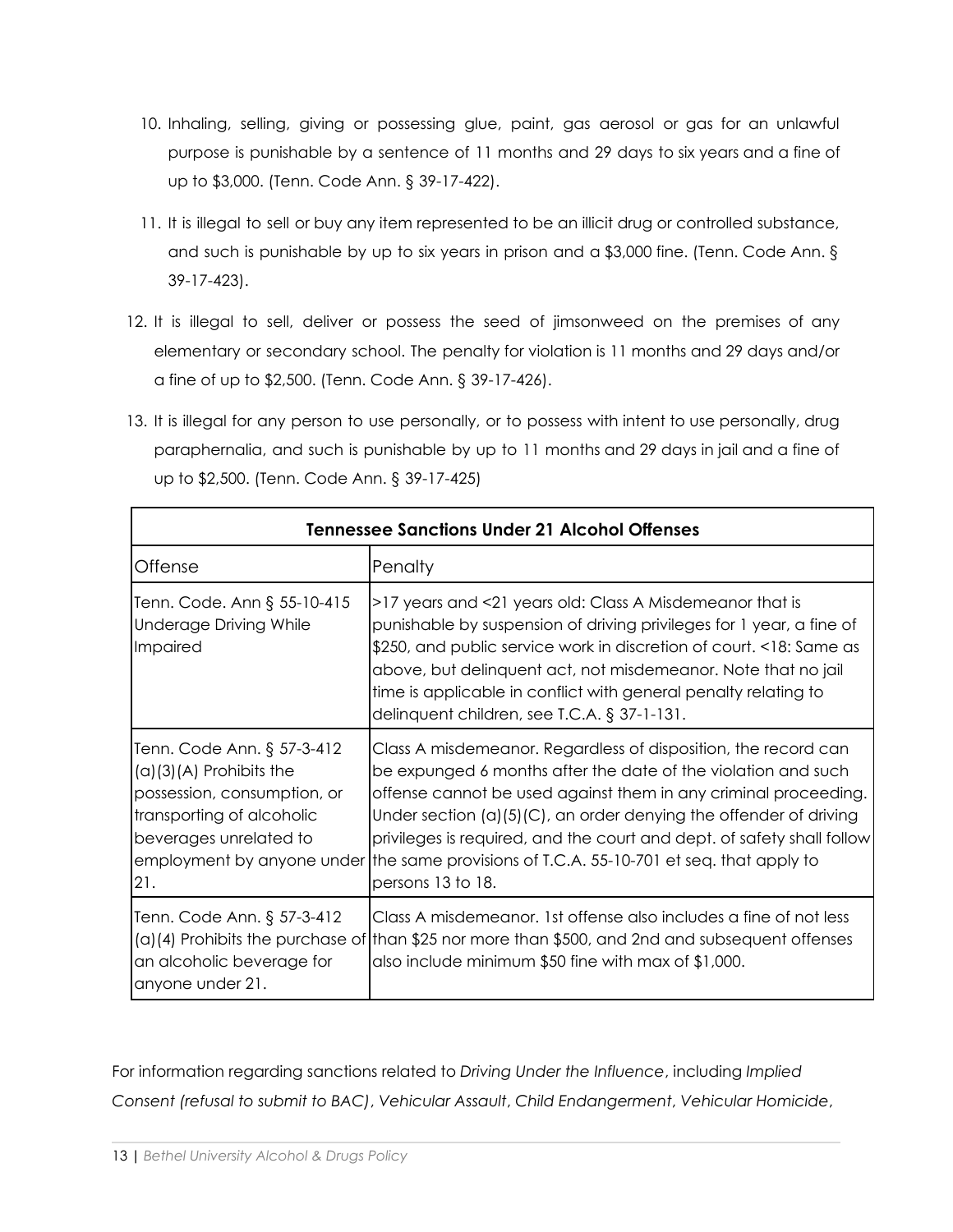- 10. Inhaling, selling, giving or possessing glue, paint, gas aerosol or gas for an unlawful purpose is punishable by a sentence of 11 months and 29 days to six years and a fine of up to \$3,000. (Tenn. Code Ann. § 39-17-422).
- 11. It is illegal to sell or buy any item represented to be an illicit drug or controlled substance, and such is punishable by up to six years in prison and a \$3,000 fine. (Tenn. Code Ann. § 39-17-423).
- 12. It is illegal to sell, deliver or possess the seed of jimsonweed on the premises of any elementary or secondary school. The penalty for violation is 11 months and 29 days and/or a fine of up to \$2,500. (Tenn. Code Ann. § 39-17-426).
- 13. It is illegal for any person to use personally, or to possess with intent to use personally, drug paraphernalia, and such is punishable by up to 11 months and 29 days in jail and a fine of up to \$2,500. (Tenn. Code Ann. § 39-17-425)

| <b>Tennessee Sanctions Under 21 Alcohol Offenses</b>                                                                                                 |                                                                                                                                                                                                                                                                                                                                                                                                                                                                       |  |  |
|------------------------------------------------------------------------------------------------------------------------------------------------------|-----------------------------------------------------------------------------------------------------------------------------------------------------------------------------------------------------------------------------------------------------------------------------------------------------------------------------------------------------------------------------------------------------------------------------------------------------------------------|--|--|
| Offense                                                                                                                                              | Penalty                                                                                                                                                                                                                                                                                                                                                                                                                                                               |  |  |
| Tenn. Code. Ann § 55-10-415<br><b>Underage Driving While</b><br>Impaired                                                                             | >17 years and <21 years old: Class A Misdemeanor that is<br>punishable by suspension of driving privileges for 1 year, a fine of<br>\$250, and public service work in discretion of court. <18: Same as<br>above, but delinquent act, not misdemeanor. Note that no jail<br>time is applicable in conflict with general penalty relating to<br>delinquent children, see T.C.A. $\S 37$ -1-131.                                                                        |  |  |
| Tenn. Code Ann. § 57-3-412<br>$(a)(3)(A)$ Prohibits the<br>possession, consumption, or<br>transporting of alcoholic<br>beverages unrelated to<br>21. | Class A misdemeanor. Regardless of disposition, the record can<br>be expunged 6 months after the date of the violation and such<br>offense cannot be used against them in any criminal proceeding.<br>Under section $(a)(5)(C)$ , an order denying the offender of driving<br>privileges is required, and the court and dept. of safety shall follow<br>employment by anyone under the same provisions of T.C.A. 55-10-701 et seq. that apply to<br>persons 13 to 18. |  |  |
| Tenn. Code Ann. § 57-3-412<br>an alcoholic beverage for<br>anyone under 21.                                                                          | Class A misdemeanor. 1st offense also includes a fine of not less<br>$(a)(4)$ Prohibits the purchase of than \$25 nor more than \$500, and 2nd and subsequent offenses<br>also include minimum \$50 fine with max of \$1,000.                                                                                                                                                                                                                                         |  |  |

For information regarding sanctions related to *Driving Under the Influence*, including *Implied Consent (refusal to submit to BAC)*, *Vehicular Assault*, *Child Endangerment*, *Vehicular Homicide*,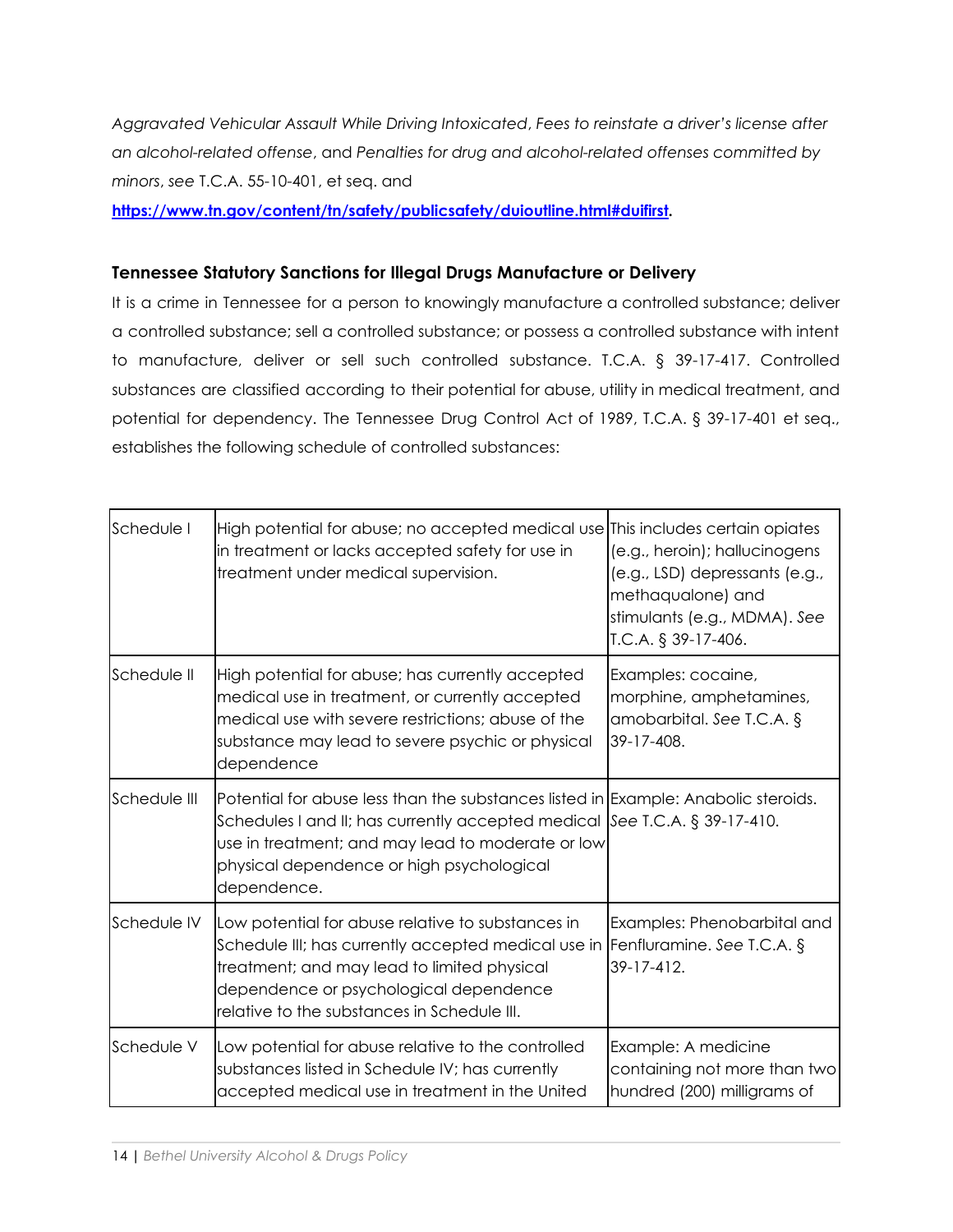*Aggravated Vehicular Assault While Driving Intoxicated*, *Fees to reinstate a driver's license after an alcohol-related offense*, and *Penalties for drug and alcohol-related offenses committed by minors*, *see* T.C.A. 55-10-401, et seq. and

**[https://www.tn.gov/content/tn/safety/publicsafety/duioutline.html#duifirst.](https://www.tn.gov/content/tn/safety/publicsafety/duioutline.html#duifirst)**

### **Tennessee Statutory Sanctions for Illegal Drugs Manufacture or Delivery**

It is a crime in Tennessee for a person to knowingly manufacture a controlled substance; deliver a controlled substance; sell a controlled substance; or possess a controlled substance with intent to manufacture, deliver or sell such controlled substance. T.C.A. § 39-17-417. Controlled substances are classified according to their potential for abuse, utility in medical treatment, and potential for dependency. The Tennessee Drug Control Act of 1989, T.C.A. § 39-17-401 et seq., establishes the following schedule of controlled substances:

| Schedule I                                                                                                                                                                                                                                                                                    | High potential for abuse; no accepted medical use This includes certain opiates<br>in treatment or lacks accepted safety for use in<br>treatment under medical supervision.                                                                                                                                | (e.g., heroin); hallucinogens<br>(e.g., LSD) depressants (e.g.,<br>methaqualone) and<br>stimulants (e.g., MDMA). See<br>T.C.A. § 39-17-406. |
|-----------------------------------------------------------------------------------------------------------------------------------------------------------------------------------------------------------------------------------------------------------------------------------------------|------------------------------------------------------------------------------------------------------------------------------------------------------------------------------------------------------------------------------------------------------------------------------------------------------------|---------------------------------------------------------------------------------------------------------------------------------------------|
| Schedule II                                                                                                                                                                                                                                                                                   | High potential for abuse; has currently accepted<br>medical use in treatment, or currently accepted<br>medical use with severe restrictions; abuse of the<br>substance may lead to severe psychic or physical<br>dependence                                                                                | Examples: cocaine,<br>morphine, amphetamines,<br>amobarbital. See T.C.A. §<br>39-17-408.                                                    |
| Schedule III                                                                                                                                                                                                                                                                                  | Potential for abuse less than the substances listed in Example: Anabolic steroids.<br>Schedules I and II; has currently accepted medical $\left  \text{See } T.C.A. \right. \$ 39-17-410.<br>use in treatment; and may lead to moderate or low<br>physical dependence or high psychological<br>dependence. |                                                                                                                                             |
| Schedule IV<br>Low potential for abuse relative to substances in<br>Schedule III; has currently accepted medical use in Fenfluramine. See T.C.A. $\S$<br>treatment; and may lead to limited physical<br>dependence or psychological dependence<br>relative to the substances in Schedule III. |                                                                                                                                                                                                                                                                                                            | Examples: Phenobarbital and<br>39-17-412.                                                                                                   |
| Schedule V                                                                                                                                                                                                                                                                                    | Low potential for abuse relative to the controlled<br>substances listed in Schedule IV; has currently<br>accepted medical use in treatment in the United                                                                                                                                                   | Example: A medicine<br>containing not more than two<br>hundred (200) milligrams of                                                          |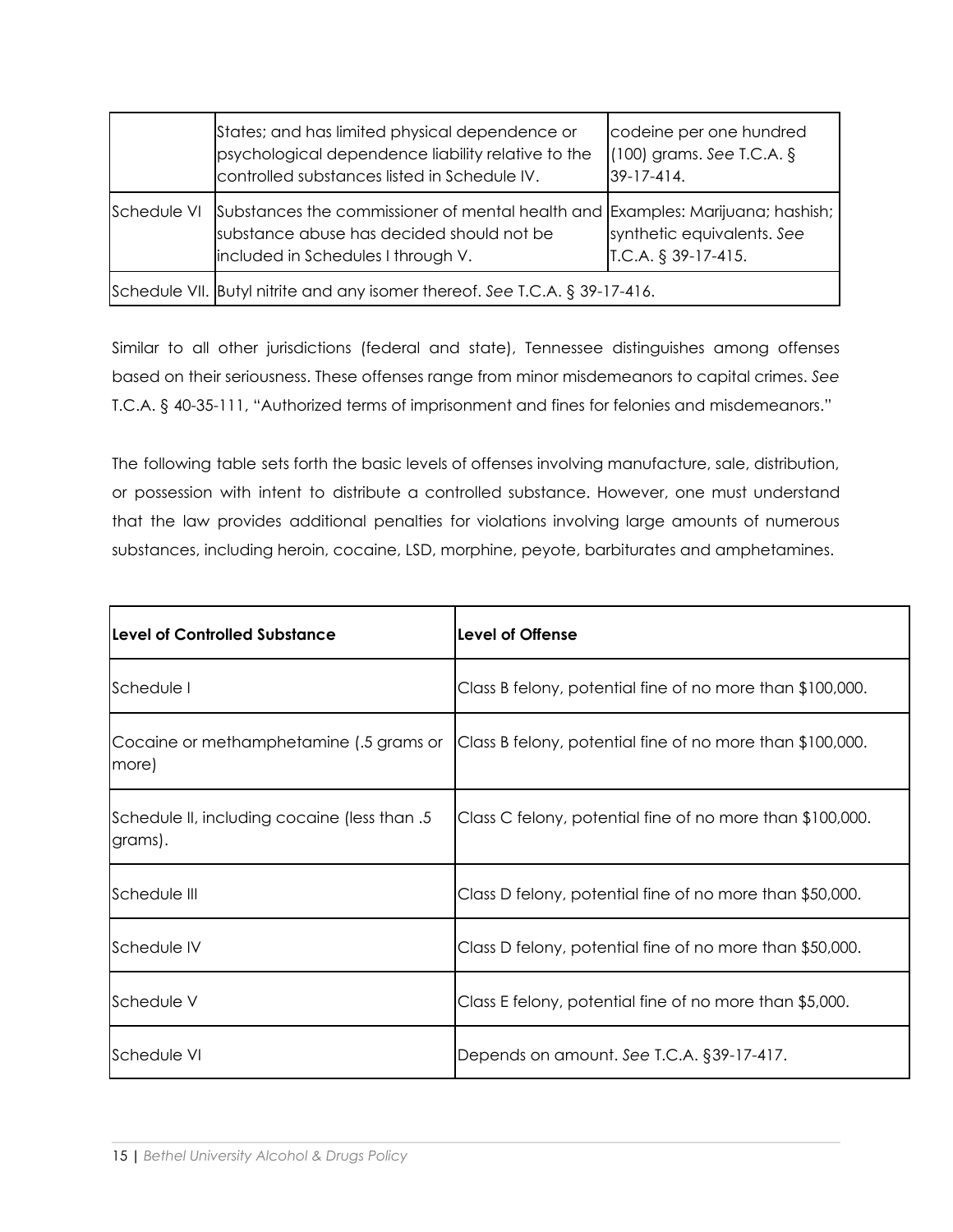|             | States; and has limited physical dependence or<br>psychological dependence liability relative to the<br>controlled substances listed in Schedule IV.              | codeine per one hundred<br>$(100)$ grams. See T.C.A. §<br>39-17-414. |
|-------------|-------------------------------------------------------------------------------------------------------------------------------------------------------------------|----------------------------------------------------------------------|
| Schedule VI | Substances the commissioner of mental health and Examples: Marijuana; hashish;<br>substance abuse has decided should not be<br>included in Schedules I through V. | synthetic equivalents. See<br>$IC.A. § 39-17-415.$                   |
|             | Schedule VII. Butyl nitrite and any isomer thereof. See T.C.A. § 39-17-416.                                                                                       |                                                                      |

Similar to all other jurisdictions (federal and state), Tennessee distinguishes among offenses based on their seriousness. These offenses range from minor misdemeanors to capital crimes. *See* T.C.A. § 40-35-111, "Authorized terms of imprisonment and fines for felonies and misdemeanors."

The following table sets forth the basic levels of offenses involving manufacture, sale, distribution, or possession with intent to distribute a controlled substance. However, one must understand that the law provides additional penalties for violations involving large amounts of numerous substances, including heroin, cocaine, LSD, morphine, peyote, barbiturates and amphetamines.

| <b>Level of Controlled Substance</b>                    | Level of Offense                                          |
|---------------------------------------------------------|-----------------------------------------------------------|
| Schedule I                                              | Class B felony, potential fine of no more than \$100,000. |
| Cocaine or methamphetamine (.5 grams or<br>(more        | Class B felony, potential fine of no more than \$100,000. |
| Schedule II, including cocaine (less than .5<br>grams). | Class C felony, potential fine of no more than \$100,000. |
| <b>S</b> chedule III                                    | Class D felony, potential fine of no more than \$50,000.  |
| <b>S</b> chedule IV                                     | Class D felony, potential fine of no more than \$50,000.  |
| Schedule V                                              | Class E felony, potential fine of no more than \$5,000.   |
| <b>S</b> chedule VI                                     | Depends on amount. See T.C.A. §39-17-417.                 |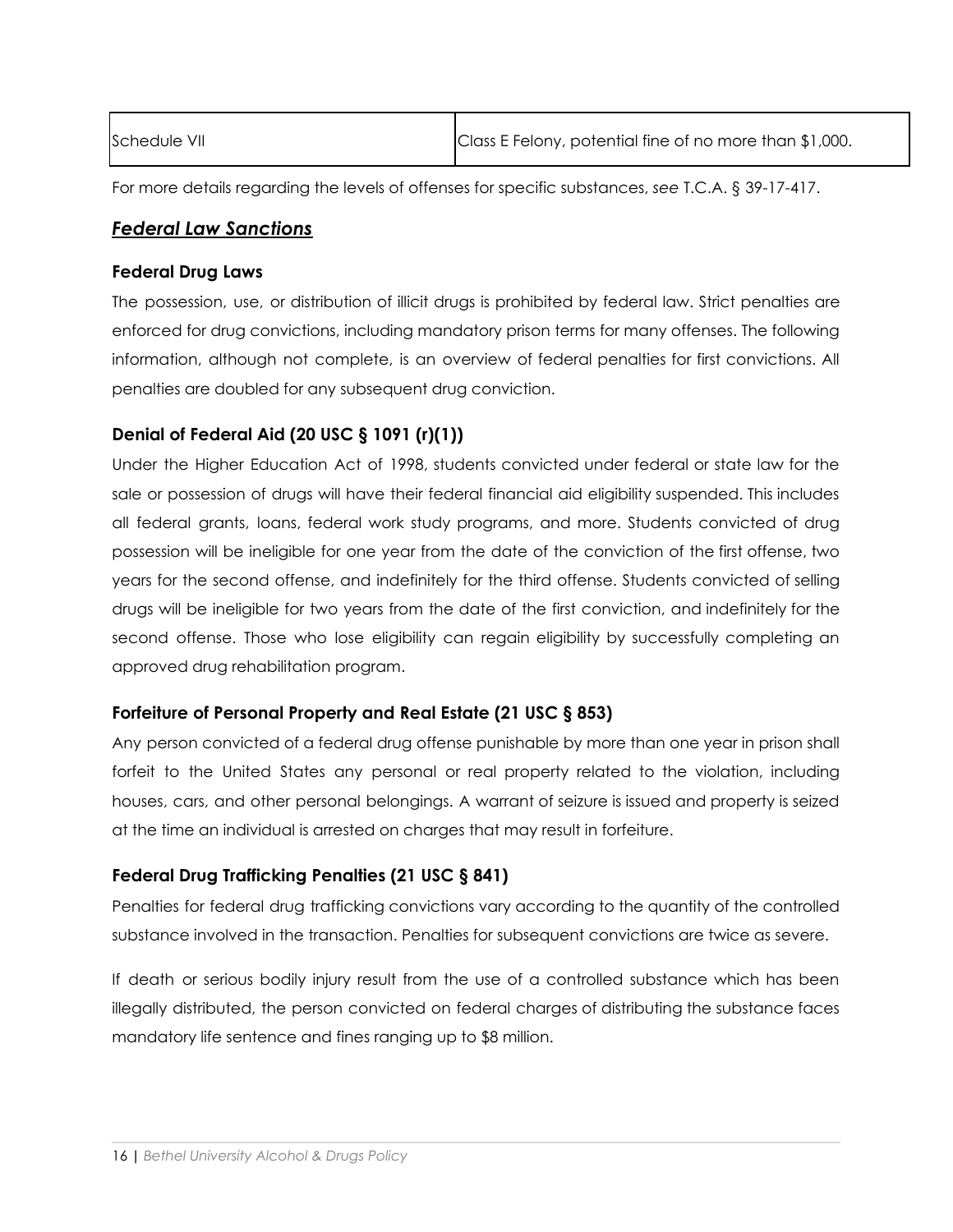| Schedule VII | Class E Felony, potential fine of no more than \$1,000. |
|--------------|---------------------------------------------------------|
|              |                                                         |

For more details regarding the levels of offenses for specific substances, *see* T.C.A. § 39-17-417.

# *Federal Law Sanctions*

### **Federal Drug Laws**

The possession, use, or distribution of illicit drugs is prohibited by federal law. Strict penalties are enforced for drug convictions, including mandatory prison terms for many offenses. The following information, although not complete, is an overview of federal penalties for first convictions. All penalties are doubled for any subsequent drug conviction.

# **Denial of Federal Aid (20 USC § 1091 (r)(1))**

Under the Higher Education Act of 1998, students convicted under federal or state law for the sale or possession of drugs will have their federal financial aid eligibility suspended. This includes all federal grants, loans, federal work study programs, and more. Students convicted of drug possession will be ineligible for one year from the date of the conviction of the first offense, two years for the second offense, and indefinitely for the third offense. Students convicted of selling drugs will be ineligible for two years from the date of the first conviction, and indefinitely for the second offense. Those who lose eligibility can regain eligibility by successfully completing an approved drug rehabilitation program.

### **Forfeiture of Personal Property and Real Estate (21 USC § 853)**

Any person convicted of a federal drug offense punishable by more than one year in prison shall forfeit to the United States any personal or real property related to the violation, including houses, cars, and other personal belongings. A warrant of seizure is issued and property is seized at the time an individual is arrested on charges that may result in forfeiture.

# **Federal Drug Trafficking Penalties (21 USC § 841)**

Penalties for federal drug trafficking convictions vary according to the quantity of the controlled substance involved in the transaction. Penalties for subsequent convictions are twice as severe.

If death or serious bodily injury result from the use of a controlled substance which has been illegally distributed, the person convicted on federal charges of distributing the substance faces mandatory life sentence and fines ranging up to \$8 million.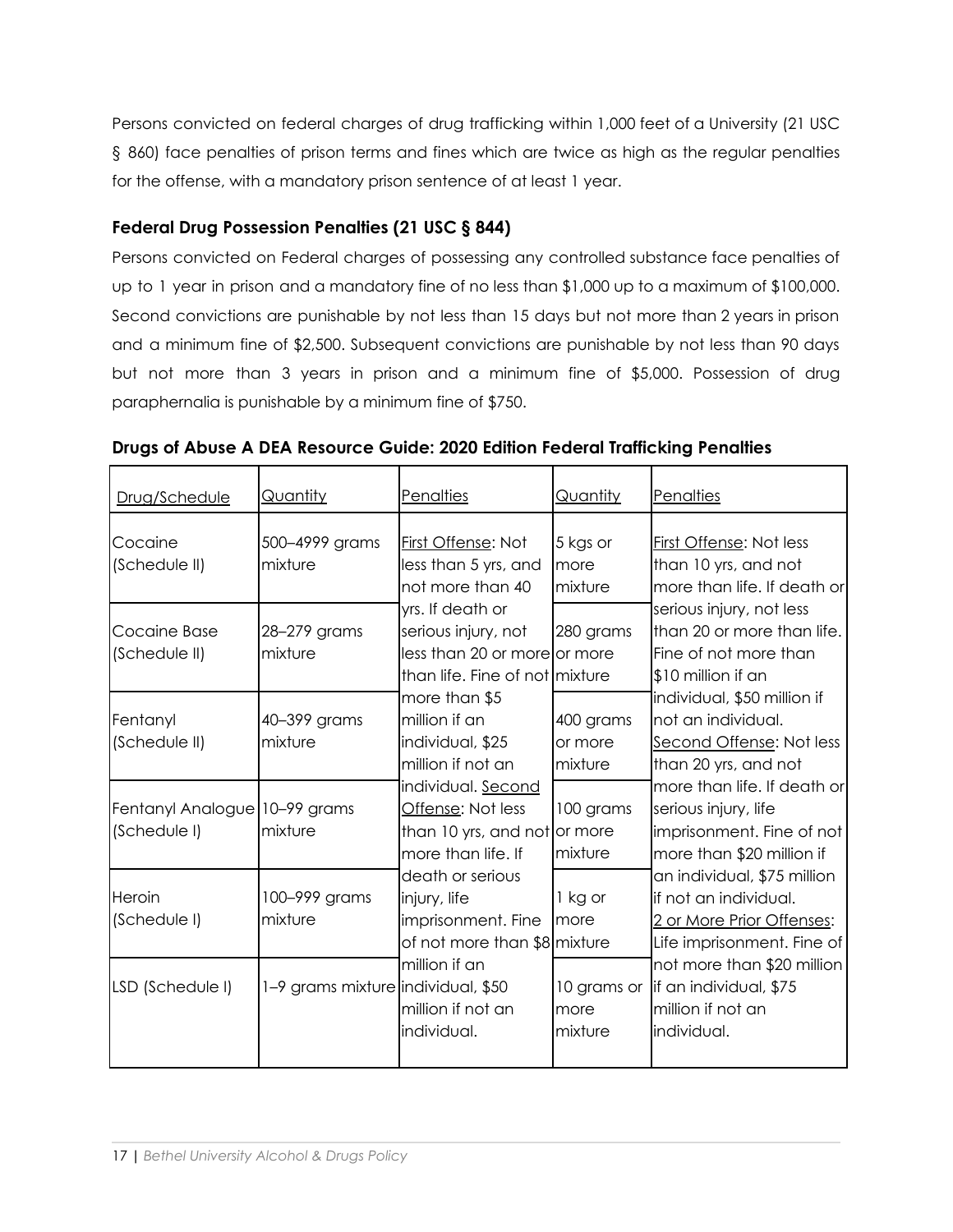Persons convicted on federal charges of drug trafficking within 1,000 feet of a University (21 USC § 860) face penalties of prison terms and fines which are twice as high as the regular penalties for the offense, with a mandatory prison sentence of at least 1 year.

# **Federal Drug Possession Penalties (21 USC § 844)**

Persons convicted on Federal charges of possessing any controlled substance face penalties of up to 1 year in prison and a mandatory fine of no less than \$1,000 up to a maximum of \$100,000. Second convictions are punishable by not less than 15 days but not more than 2 years in prison and a minimum fine of \$2,500. Subsequent convictions are punishable by not less than 90 days but not more than 3 years in prison and a minimum fine of \$5,000. Possession of drug paraphernalia is punishable by a minimum fine of \$750.

| Drug/Schedule                                 | Quantity                           | Penalties                                                                                                 | Quantity                        | <u>Penalties</u>                                                                                                 |
|-----------------------------------------------|------------------------------------|-----------------------------------------------------------------------------------------------------------|---------------------------------|------------------------------------------------------------------------------------------------------------------|
| Cocaine<br>(Schedule II)                      | 500-4999 grams<br>mixture          | First Offense: Not<br>less than 5 yrs, and<br>not more than 40                                            | $5$ kgs or<br>more<br>mixture   | First Offense: Not less<br>than 10 yrs, and not<br>more than life. If death or                                   |
| Cocaine Base<br>(Schedule II)                 | 28-279 grams<br>mixture            | yrs. If death or<br>serious injury, not<br>less than 20 or more or more<br>than life. Fine of not mixture | 280 grams                       | serious injury, not less<br>than 20 or more than life.<br>Fine of not more than<br>$$10$ million if an           |
| Fentanyl<br>(Schedule II)                     | 40-399 grams<br>mixture            | more than \$5<br>million if an<br>individual, \$25<br>million if not an                                   | 400 grams<br>or more<br>mixture | individual, \$50 million if<br>not an individual.<br>Second Offense: Not less<br>than 20 yrs, and not            |
| Fentanyl Analogue 10–99 grams<br>(Schedule I) | mixture                            | individual. Second<br>Offense: Not less<br>than 10 yrs, and not or more<br>more than life. If             | 100 grams<br>mixture            | more than life. If death or <br>serious injury, life<br>imprisonment. Fine of not<br>more than \$20 million if   |
| Heroin<br>(Schedule I)                        | 100-999 grams<br>mixture           | death or serious<br>injury, life<br>imprisonment. Fine<br>of not more than \$8 mixture                    | 1 kg or<br>Imore                | an individual, \$75 million<br>lif not an individual.<br>2 or More Prior Offenses:<br>Life imprisonment. Fine of |
| LSD (Schedule I)                              | 1-9 grams mixture individual, \$50 | million if an<br>million if not an<br>individual.                                                         | 10 grams or<br>more<br>mixture  | not more than \$20 million<br>lif an individual, \$75<br>million if not an<br>lindividual.                       |

### **Drugs of Abuse A DEA Resource Guide: 2020 Edition Federal Trafficking Penalties**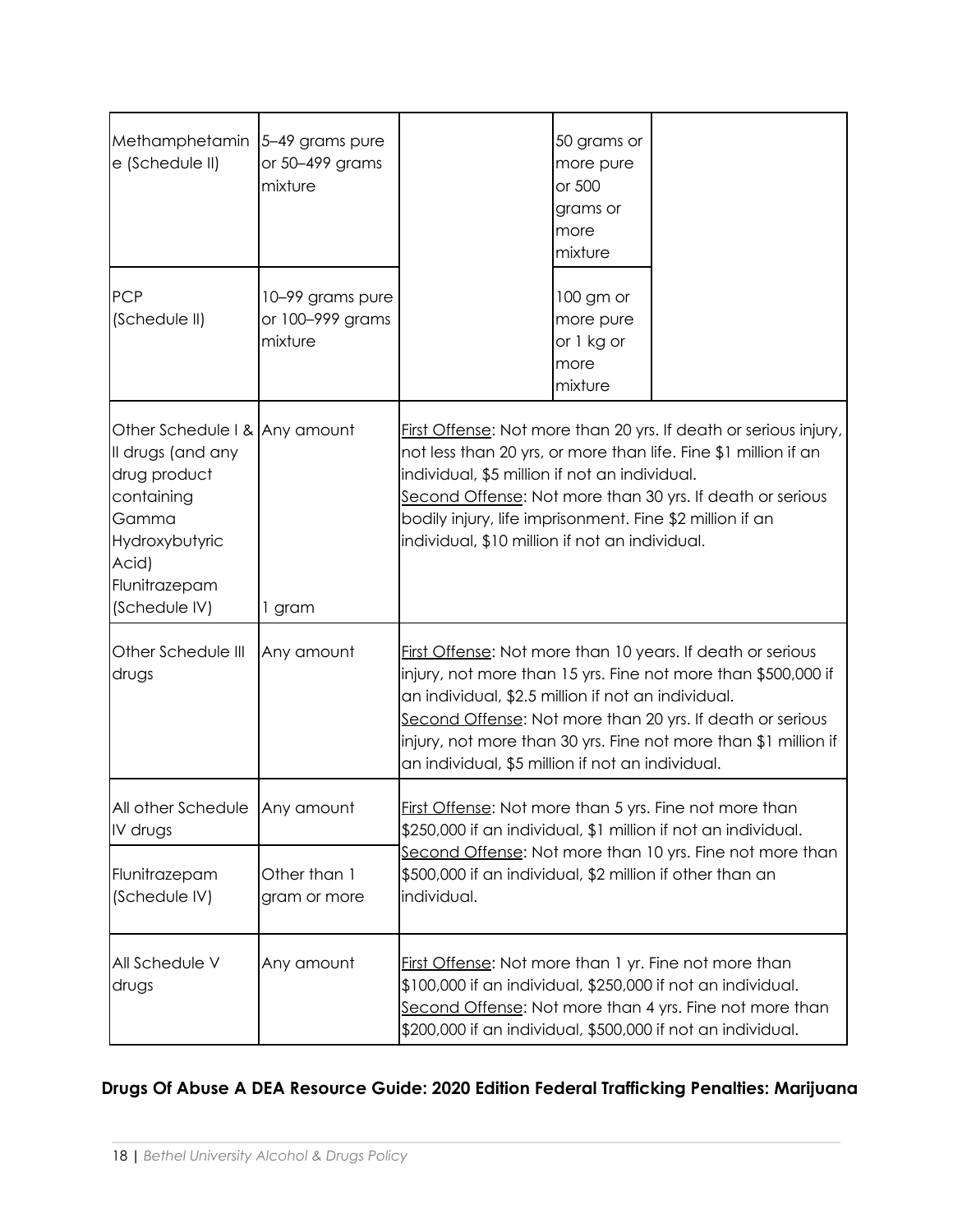| Methamphetamin<br>e (Schedule II)                                                                                                                      | 5-49 grams pure<br>or 50-499 grams<br>mixture   |                                                                                                                                                                                                                                                                                                                                                                       | 50 grams or<br>more pure<br>or 500<br>grams or<br>more<br>mixture |  |  |
|--------------------------------------------------------------------------------------------------------------------------------------------------------|-------------------------------------------------|-----------------------------------------------------------------------------------------------------------------------------------------------------------------------------------------------------------------------------------------------------------------------------------------------------------------------------------------------------------------------|-------------------------------------------------------------------|--|--|
| <b>PCP</b><br>(Schedule II)                                                                                                                            | 10-99 grams pure<br>or 100-999 grams<br>mixture |                                                                                                                                                                                                                                                                                                                                                                       | 100 gm or<br>more pure<br>or 1 kg or<br>more<br>mixture           |  |  |
| Other Schedule   & Any amount<br>Il drugs (and any<br>drug product<br>containing<br>Gamma<br>Hydroxybutyric<br>Acid)<br>Flunitrazepam<br>(Schedule IV) | 1 gram                                          | First Offense: Not more than 20 yrs. If death or serious injury,<br>not less than 20 yrs, or more than life. Fine \$1 million if an<br>individual, \$5 million if not an individual.<br>Second Offense: Not more than 30 yrs. If death or serious<br>bodily injury, life imprisonment. Fine \$2 million if an<br>individual, \$10 million if not an individual.       |                                                                   |  |  |
| Other Schedule III<br>drugs                                                                                                                            | Any amount                                      | First Offense: Not more than 10 years. If death or serious<br>injury, not more than 15 yrs. Fine not more than \$500,000 if<br>an individual, \$2.5 million if not an individual.<br>Second Offense: Not more than 20 yrs. If death or serious<br>injury, not more than 30 yrs. Fine not more than \$1 million if<br>an individual, \$5 million if not an individual. |                                                                   |  |  |
| All other Schedule Any amount<br>IV drugs<br>Flunitrazepam<br>(Schedule IV)                                                                            | Other than 1<br>gram or more                    | <b>First Offense:</b> Not more than 5 yrs. Fine not more than<br>\$250,000 if an individual, \$1 million if not an individual.<br>Second Offense: Not more than 10 yrs. Fine not more than<br>\$500,000 if an individual, \$2 million if other than an<br>individual.                                                                                                 |                                                                   |  |  |
| All Schedule V<br>drugs                                                                                                                                | Any amount                                      | First Offense: Not more than 1 yr. Fine not more than<br>\$100,000 if an individual, \$250,000 if not an individual.<br>Second Offense: Not more than 4 yrs. Fine not more than<br>\$200,000 if an individual, \$500,000 if not an individual.                                                                                                                        |                                                                   |  |  |

# **Drugs Of Abuse A DEA Resource Guide: 2020 Edition Federal Trafficking Penalties: Marijuana**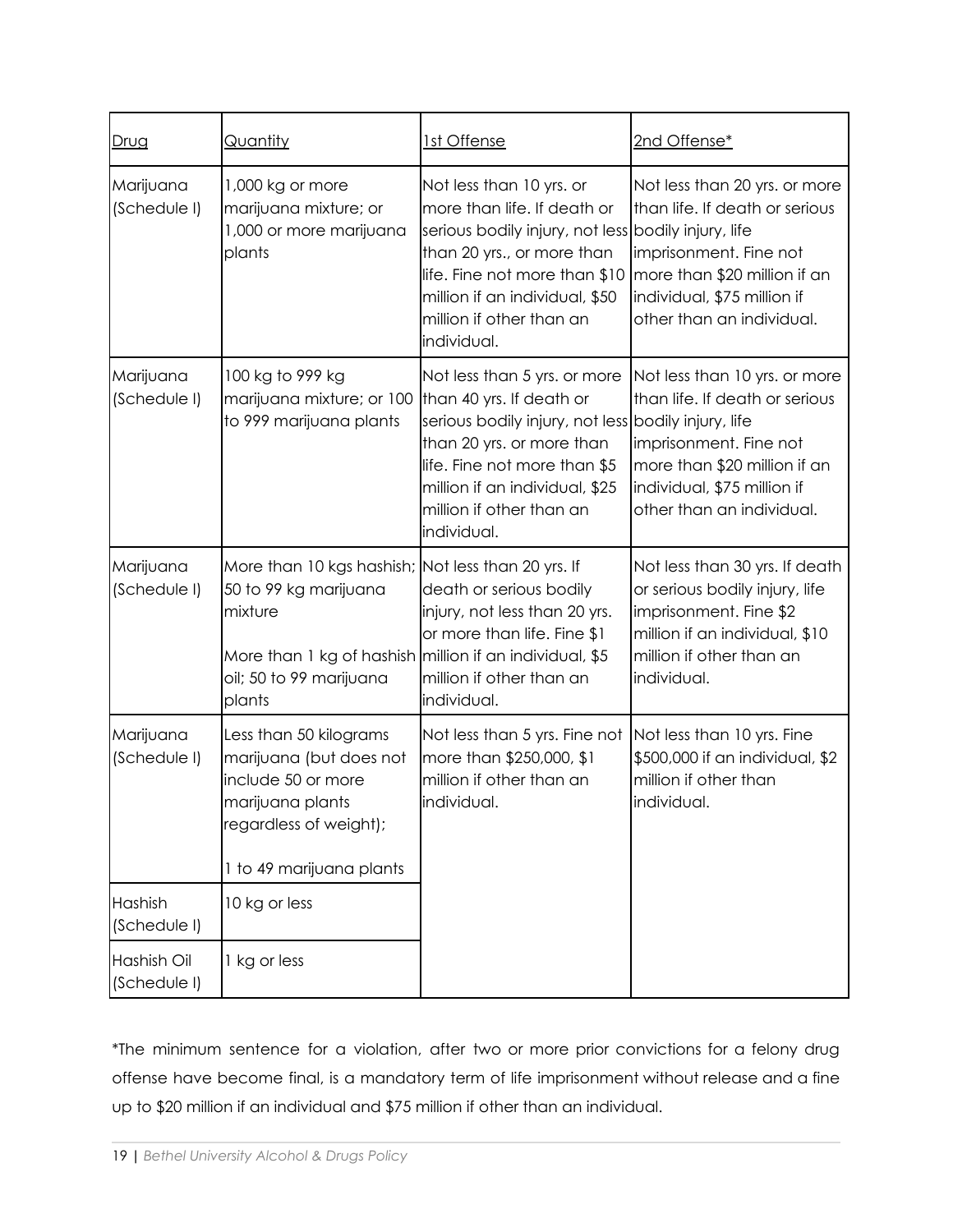| Drug                        | <u>Quantity</u>                                                                                                                                          | <u>1st Offense</u>                                                                                                                                                                                                                                         | 2nd Offense*                                                                                                                                                                          |  |
|-----------------------------|----------------------------------------------------------------------------------------------------------------------------------------------------------|------------------------------------------------------------------------------------------------------------------------------------------------------------------------------------------------------------------------------------------------------------|---------------------------------------------------------------------------------------------------------------------------------------------------------------------------------------|--|
| Marijuana<br>(Schedule I)   | 1,000 kg or more<br>marijuana mixture; or<br>1,000 or more marijuana<br>plants                                                                           | Not less than 10 yrs. or<br>more than life. If death or<br>serious bodily injury, not less bodily injury, life<br>than 20 yrs., or more than<br>life. Fine not more than \$10<br>million if an individual, \$50<br>million if other than an<br>individual. | Not less than 20 yrs. or more<br>than life. If death or serious<br>imprisonment. Fine not<br>more than \$20 million if an<br>individual, \$75 million if<br>other than an individual. |  |
| Marijuana<br>(Schedule I)   | 100 kg to 999 kg<br>marijuana mixture; or 100<br>to 999 marijuana plants                                                                                 | Not less than 5 yrs. or more<br>than 40 yrs. If death or<br>serious bodily injury, not less bodily injury, life<br>than 20 yrs. or more than<br>life. Fine not more than \$5<br>million if an individual, \$25<br>million if other than an<br>individual.  | Not less than 10 yrs. or more<br>than life. If death or serious<br>imprisonment. Fine not<br>more than \$20 million if an<br>individual, \$75 million if<br>other than an individual. |  |
| Marijuana<br>(Schedule I)   | More than 10 kgs hashish; Not less than 20 yrs. If<br>50 to 99 kg marijuana<br>mixture<br>More than 1 kg of hashish<br>oil; 50 to 99 marijuana<br>plants | death or serious bodily<br>injury, not less than 20 yrs.<br>or more than life. Fine \$1<br>million if an individual, \$5<br>million if other than an<br>individual.                                                                                        | Not less than 30 yrs. If death<br>or serious bodily injury, life<br>imprisonment. Fine \$2<br>million if an individual, \$10<br>million if other than an<br>individual.               |  |
| Marijuana<br>(Schedule I)   | Less than 50 kilograms<br>marijuana (but does not<br>include 50 or more<br>marijuana plants<br>regardless of weight);<br>1 to 49 marijuana plants        | Not less than 5 yrs. Fine not<br>more than \$250,000, \$1<br>million if other than an<br>individual.                                                                                                                                                       | Not less than 10 yrs. Fine<br>\$500,000 if an individual, \$2<br>million if other than<br>individual.                                                                                 |  |
| Hashish<br>(Schedule I)     | 10 kg or less                                                                                                                                            |                                                                                                                                                                                                                                                            |                                                                                                                                                                                       |  |
| Hashish Oil<br>(Schedule I) | 1 kg or less                                                                                                                                             |                                                                                                                                                                                                                                                            |                                                                                                                                                                                       |  |

\*The minimum sentence for a violation, after two or more prior convictions for a felony drug offense have become final, is a mandatory term of life imprisonment without release and a fine up to \$20 million if an individual and \$75 million if other than an individual.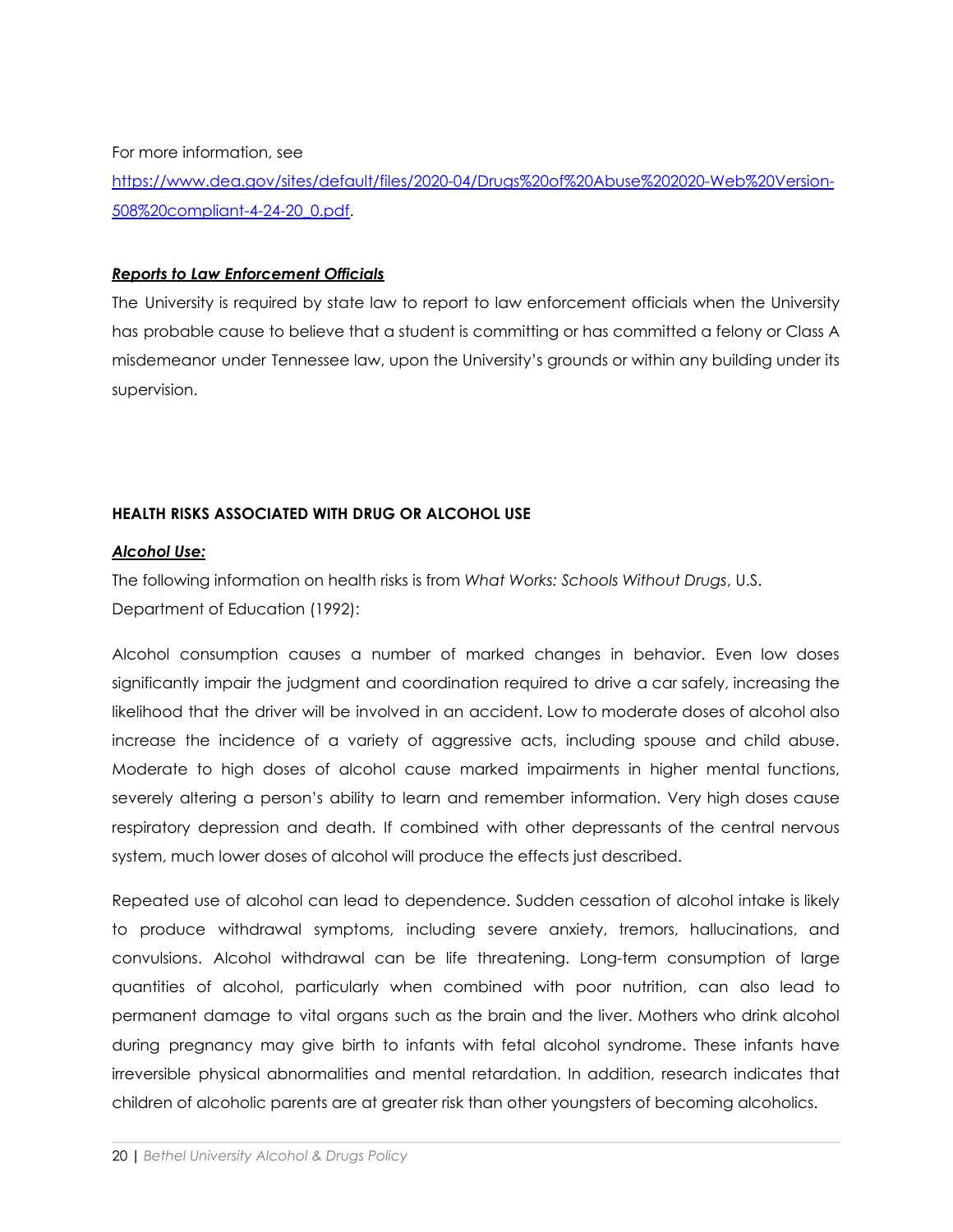For more information, see

[https://www.dea.gov/sites/default/files/2020-04/Drugs%20of%20Abuse%202020-Web%20Version-](https://www.dea.gov/sites/default/files/2020-04/Drugs%20of%20Abuse%202020-Web%20Version-508%20compliant-4-24-20_0.pdf)[508%20compliant-4-24-20\\_0.pdf.](https://www.dea.gov/sites/default/files/2020-04/Drugs%20of%20Abuse%202020-Web%20Version-508%20compliant-4-24-20_0.pdf)

#### *Reports to Law Enforcement Officials*

The University is required by state law to report to law enforcement officials when the University has probable cause to believe that a student is committing or has committed a felony or Class A misdemeanor under Tennessee law, upon the University's grounds or within any building under its supervision.

#### **HEALTH RISKS ASSOCIATED WITH DRUG OR ALCOHOL USE**

#### *Alcohol Use:*

The following information on health risks is from *What Works: Schools Without Drugs*, U.S. Department of Education (1992):

Alcohol consumption causes a number of marked changes in behavior. Even low doses significantly impair the judgment and coordination required to drive a car safely, increasing the likelihood that the driver will be involved in an accident. Low to moderate doses of alcohol also increase the incidence of a variety of aggressive acts, including spouse and child abuse. Moderate to high doses of alcohol cause marked impairments in higher mental functions, severely altering a person's ability to learn and remember information. Very high doses cause respiratory depression and death. If combined with other depressants of the central nervous system, much lower doses of alcohol will produce the effects just described.

Repeated use of alcohol can lead to dependence. Sudden cessation of alcohol intake is likely to produce withdrawal symptoms, including severe anxiety, tremors, hallucinations, and convulsions. Alcohol withdrawal can be life threatening. Long-term consumption of large quantities of alcohol, particularly when combined with poor nutrition, can also lead to permanent damage to vital organs such as the brain and the liver. Mothers who drink alcohol during pregnancy may give birth to infants with fetal alcohol syndrome. These infants have irreversible physical abnormalities and mental retardation. In addition, research indicates that children of alcoholic parents are at greater risk than other youngsters of becoming alcoholics.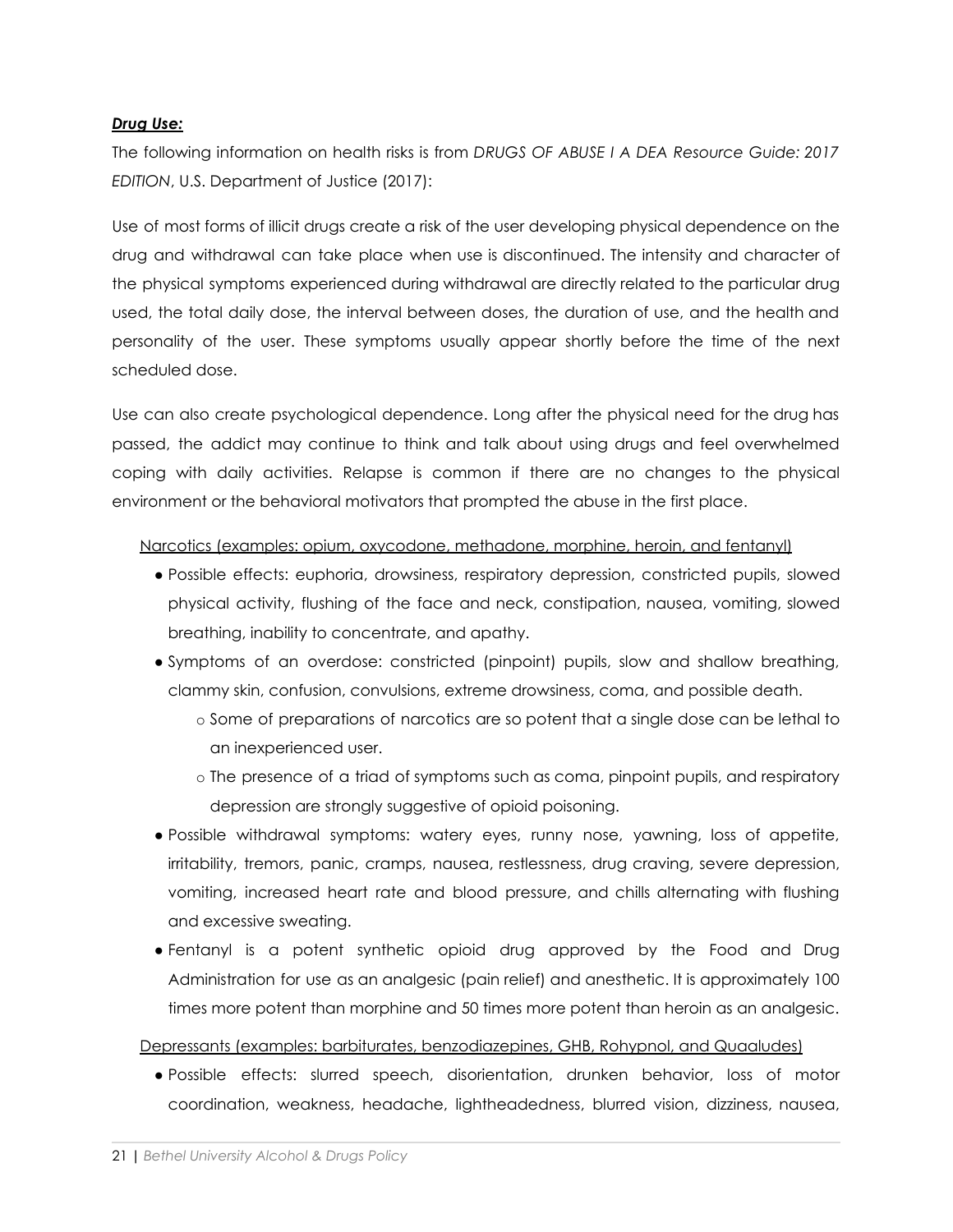### *Drug Use:*

The following information on health risks is from *DRUGS OF ABUSE I A DEA Resource Guide: 2017 EDITION*, U.S. Department of Justice (2017):

Use of most forms of illicit drugs create a risk of the user developing physical dependence on the drug and withdrawal can take place when use is discontinued. The intensity and character of the physical symptoms experienced during withdrawal are directly related to the particular drug used, the total daily dose, the interval between doses, the duration of use, and the health and personality of the user. These symptoms usually appear shortly before the time of the next scheduled dose.

Use can also create psychological dependence. Long after the physical need for the drug has passed, the addict may continue to think and talk about using drugs and feel overwhelmed coping with daily activities. Relapse is common if there are no changes to the physical environment or the behavioral motivators that prompted the abuse in the first place.

#### Narcotics (examples: opium, oxycodone, methadone, morphine, heroin, and fentanyl)

- Possible effects: euphoria, drowsiness, respiratory depression, constricted pupils, slowed physical activity, flushing of the face and neck, constipation, nausea, vomiting, slowed breathing, inability to concentrate, and apathy.
- Symptoms of an overdose: constricted (pinpoint) pupils, slow and shallow breathing, clammy skin, confusion, convulsions, extreme drowsiness, coma, and possible death.
	- o Some of preparations of narcotics are so potent that a single dose can be lethal to an inexperienced user.
	- o The presence of a triad of symptoms such as coma, pinpoint pupils, and respiratory depression are strongly suggestive of opioid poisoning.
- Possible withdrawal symptoms: watery eyes, runny nose, yawning, loss of appetite, irritability, tremors, panic, cramps, nausea, restlessness, drug craving, severe depression, vomiting, increased heart rate and blood pressure, and chills alternating with flushing and excessive sweating.
- Fentanyl is a potent synthetic opioid drug approved by the Food and Drug Administration for use as an analgesic (pain relief) and anesthetic. It is approximately 100 times more potent than morphine and 50 times more potent than heroin as an analgesic.

### Depressants (examples: barbiturates, benzodiazepines, GHB, Rohypnol, and Quaaludes)

● Possible effects: slurred speech, disorientation, drunken behavior, loss of motor coordination, weakness, headache, lightheadedness, blurred vision, dizziness, nausea,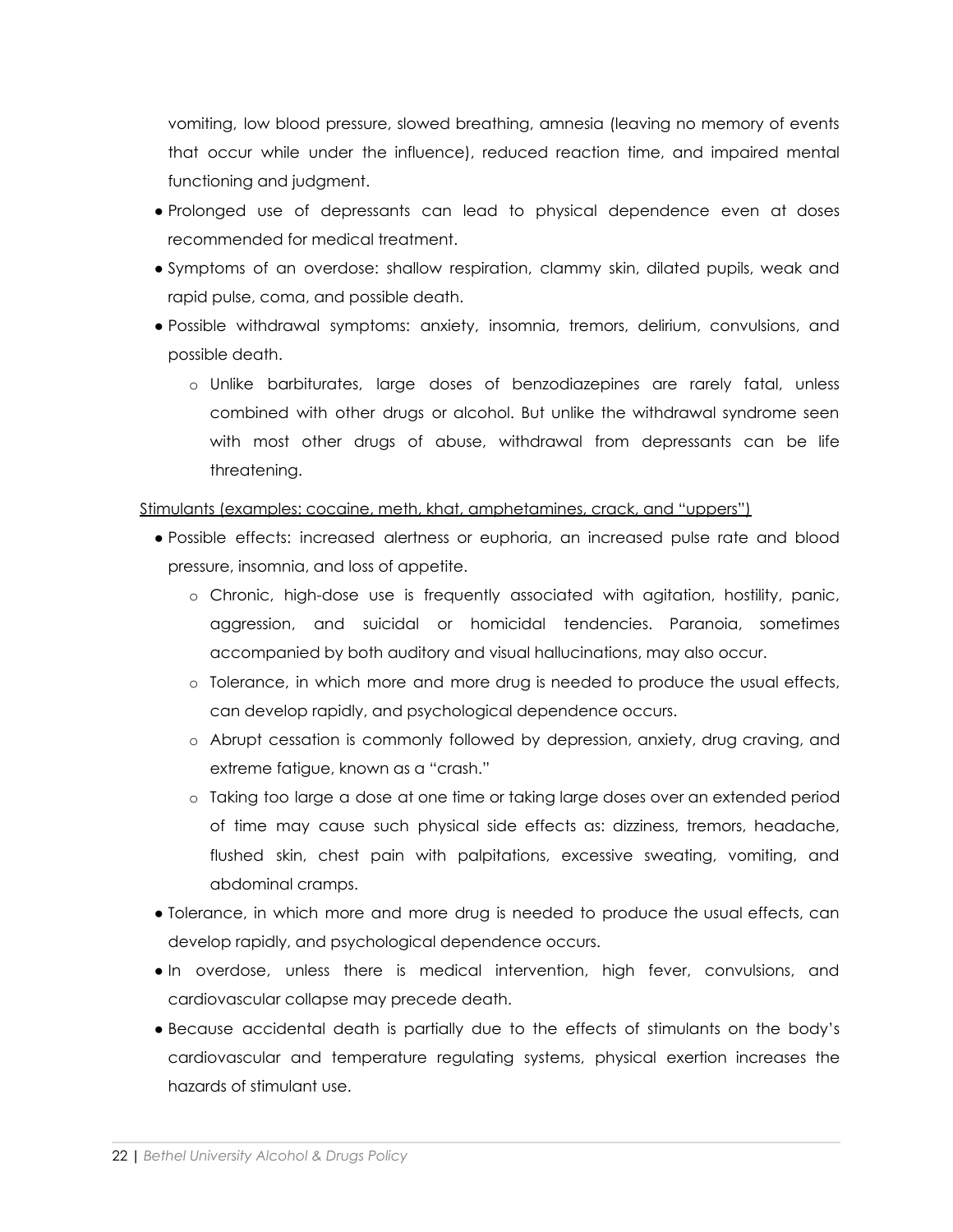vomiting, low blood pressure, slowed breathing, amnesia (leaving no memory of events that occur while under the influence), reduced reaction time, and impaired mental functioning and judgment.

- Prolonged use of depressants can lead to physical dependence even at doses recommended for medical treatment.
- Symptoms of an overdose: shallow respiration, clammy skin, dilated pupils, weak and rapid pulse, coma, and possible death.
- Possible withdrawal symptoms: anxiety, insomnia, tremors, delirium, convulsions, and possible death.
	- o Unlike barbiturates, large doses of benzodiazepines are rarely fatal, unless combined with other drugs or alcohol. But unlike the withdrawal syndrome seen with most other drugs of abuse, withdrawal from depressants can be life threatening.

Stimulants (examples: cocaine, meth, khat, amphetamines, crack, and "uppers")

- Possible effects: increased alertness or euphoria, an increased pulse rate and blood pressure, insomnia, and loss of appetite.
	- o Chronic, high-dose use is frequently associated with agitation, hostility, panic, aggression, and suicidal or homicidal tendencies. Paranoia, sometimes accompanied by both auditory and visual hallucinations, may also occur.
	- o Tolerance, in which more and more drug is needed to produce the usual effects, can develop rapidly, and psychological dependence occurs.
	- o Abrupt cessation is commonly followed by depression, anxiety, drug craving, and extreme fatigue, known as a "crash."
	- o Taking too large a dose at one time or taking large doses over an extended period of time may cause such physical side effects as: dizziness, tremors, headache, flushed skin, chest pain with palpitations, excessive sweating, vomiting, and abdominal cramps.
- Tolerance, in which more and more drug is needed to produce the usual effects, can develop rapidly, and psychological dependence occurs.
- In overdose, unless there is medical intervention, high fever, convulsions, and cardiovascular collapse may precede death.
- Because accidental death is partially due to the effects of stimulants on the body's cardiovascular and temperature regulating systems, physical exertion increases the hazards of stimulant use.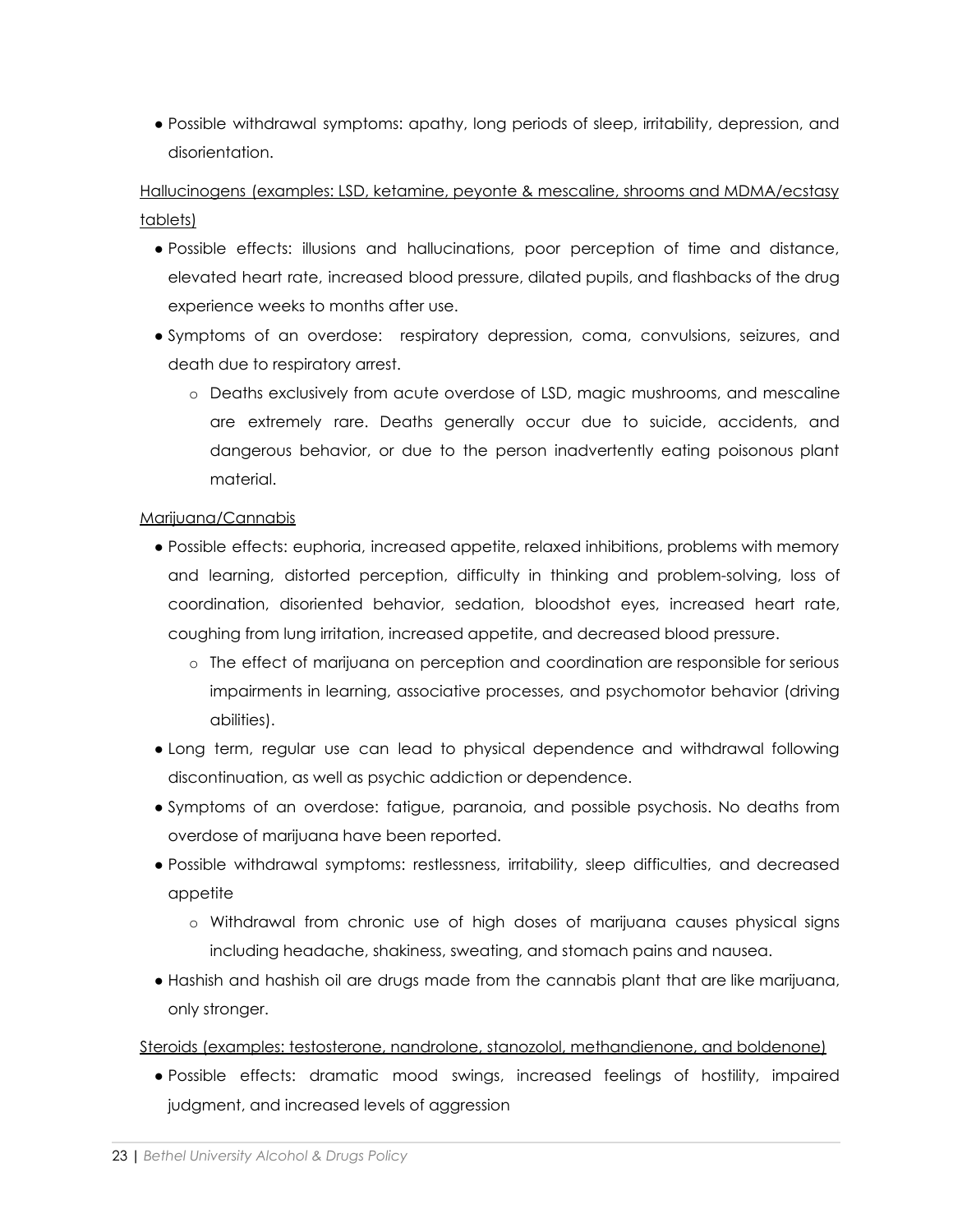● Possible withdrawal symptoms: apathy, long periods of sleep, irritability, depression, and disorientation.

Hallucinogens (examples: LSD, ketamine, peyonte & mescaline, shrooms and MDMA/ecstasy tablets)

- Possible effects: illusions and hallucinations, poor perception of time and distance, elevated heart rate, increased blood pressure, dilated pupils, and flashbacks of the drug experience weeks to months after use.
- Symptoms of an overdose: respiratory depression, coma, convulsions, seizures, and death due to respiratory arrest.
	- o Deaths exclusively from acute overdose of LSD, magic mushrooms, and mescaline are extremely rare. Deaths generally occur due to suicide, accidents, and dangerous behavior, or due to the person inadvertently eating poisonous plant material.

### Marijuana/Cannabis

- Possible effects: euphoria, increased appetite, relaxed inhibitions, problems with memory and learning, distorted perception, difficulty in thinking and problem-solving, loss of coordination, disoriented behavior, sedation, bloodshot eyes, increased heart rate, coughing from lung irritation, increased appetite, and decreased blood pressure.
	- o The effect of marijuana on perception and coordination are responsible for serious impairments in learning, associative processes, and psychomotor behavior (driving abilities).
- Long term, regular use can lead to physical dependence and withdrawal following discontinuation, as well as psychic addiction or dependence.
- Symptoms of an overdose: fatigue, paranoia, and possible psychosis. No deaths from overdose of marijuana have been reported.
- Possible withdrawal symptoms: restlessness, irritability, sleep difficulties, and decreased appetite
	- o Withdrawal from chronic use of high doses of marijuana causes physical signs including headache, shakiness, sweating, and stomach pains and nausea.
- Hashish and hashish oil are drugs made from the cannabis plant that are like marijuana, only stronger.

Steroids (examples: testosterone, nandrolone, stanozolol, methandienone, and boldenone)

● Possible effects: dramatic mood swings, increased feelings of hostility, impaired judgment, and increased levels of aggression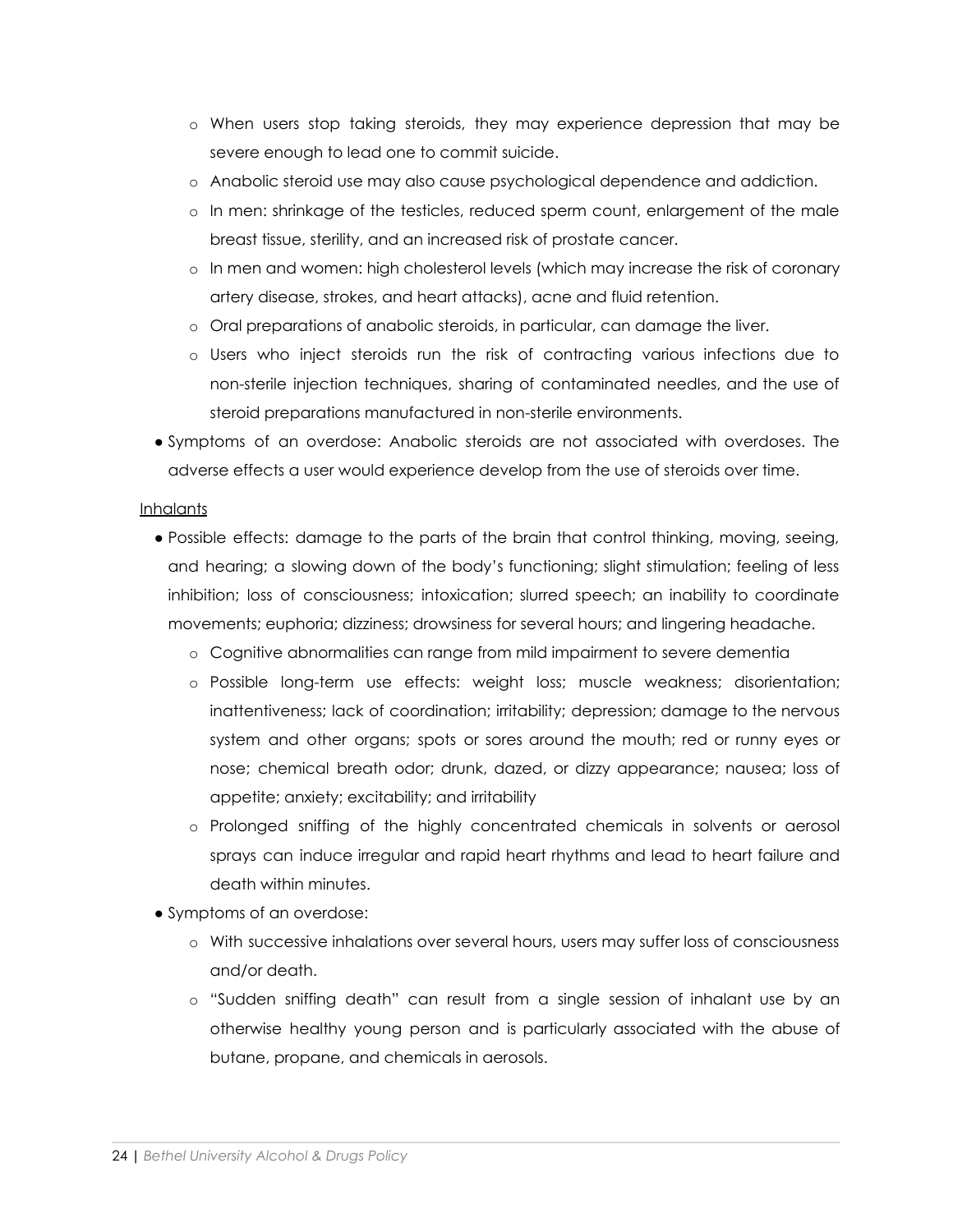- o When users stop taking steroids, they may experience depression that may be severe enough to lead one to commit suicide.
- o Anabolic steroid use may also cause psychological dependence and addiction.
- o In men: shrinkage of the testicles, reduced sperm count, enlargement of the male breast tissue, sterility, and an increased risk of prostate cancer.
- o In men and women: high cholesterol levels (which may increase the risk of coronary artery disease, strokes, and heart attacks), acne and fluid retention.
- o Oral preparations of anabolic steroids, in particular, can damage the liver.
- o Users who inject steroids run the risk of contracting various infections due to non-sterile injection techniques, sharing of contaminated needles, and the use of steroid preparations manufactured in non-sterile environments.
- Symptoms of an overdose: Anabolic steroids are not associated with overdoses. The adverse effects a user would experience develop from the use of steroids over time.

#### **Inhalants**

- Possible effects: damage to the parts of the brain that control thinking, moving, seeing, and hearing; a slowing down of the body's functioning; slight stimulation; feeling of less inhibition; loss of consciousness; intoxication; slurred speech; an inability to coordinate movements; euphoria; dizziness; drowsiness for several hours; and lingering headache.
	- o Cognitive abnormalities can range from mild impairment to severe dementia
	- o Possible long-term use effects: weight loss; muscle weakness; disorientation; inattentiveness; lack of coordination; irritability; depression; damage to the nervous system and other organs; spots or sores around the mouth; red or runny eyes or nose; chemical breath odor; drunk, dazed, or dizzy appearance; nausea; loss of appetite; anxiety; excitability; and irritability
	- o Prolonged sniffing of the highly concentrated chemicals in solvents or aerosol sprays can induce irregular and rapid heart rhythms and lead to heart failure and death within minutes.
- Symptoms of an overdose:
	- o With successive inhalations over several hours, users may suffer loss of consciousness and/or death.
	- o "Sudden sniffing death" can result from a single session of inhalant use by an otherwise healthy young person and is particularly associated with the abuse of butane, propane, and chemicals in aerosols.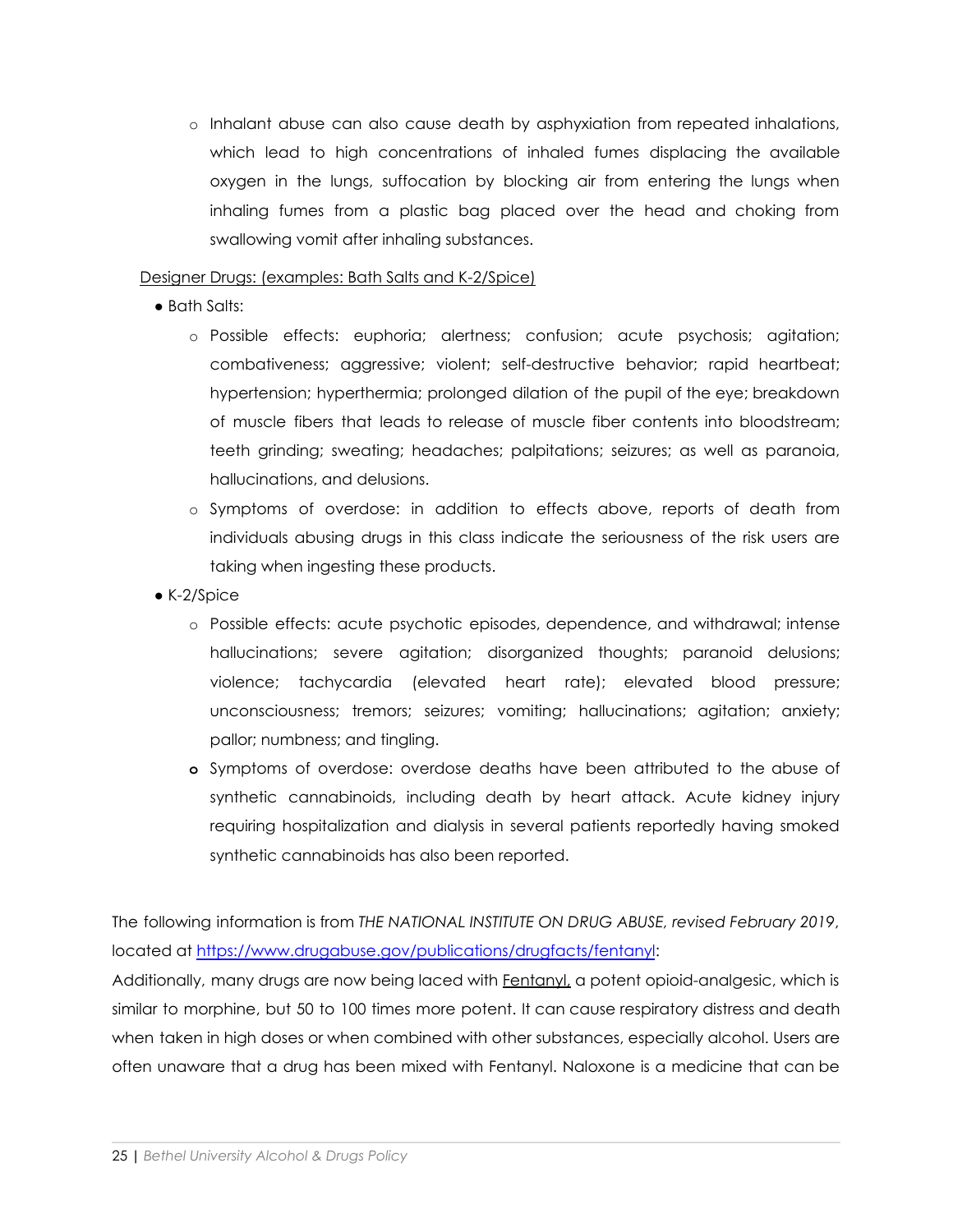o Inhalant abuse can also cause death by asphyxiation from repeated inhalations, which lead to high concentrations of inhaled fumes displacing the available oxygen in the lungs, suffocation by blocking air from entering the lungs when inhaling fumes from a plastic bag placed over the head and choking from swallowing vomit after inhaling substances.

### Designer Drugs: (examples: Bath Salts and K-2/Spice)

- Bath Salts:
	- o Possible effects: euphoria; alertness; confusion; acute psychosis; agitation; combativeness; aggressive; violent; self-destructive behavior; rapid heartbeat; hypertension; hyperthermia; prolonged dilation of the pupil of the eye; breakdown of muscle fibers that leads to release of muscle fiber contents into bloodstream; teeth grinding; sweating; headaches; palpitations; seizures; as well as paranoia, hallucinations, and delusions.
	- o Symptoms of overdose: in addition to effects above, reports of death from individuals abusing drugs in this class indicate the seriousness of the risk users are taking when ingesting these products.
- K-2/Spice
	- o Possible effects: acute psychotic episodes, dependence, and withdrawal; intense hallucinations; severe agitation; disorganized thoughts; paranoid delusions; violence; tachycardia (elevated heart rate); elevated blood pressure; unconsciousness; tremors; seizures; vomiting; hallucinations; agitation; anxiety; pallor; numbness; and tingling.
	- **o** Symptoms of overdose: overdose deaths have been attributed to the abuse of synthetic cannabinoids, including death by heart attack. Acute kidney injury requiring hospitalization and dialysis in several patients reportedly having smoked synthetic cannabinoids has also been reported.

The following information is from *THE NATIONAL INSTITUTE ON DRUG ABUSE, revised February 2019*, located at <https://www.drugabuse.gov/publications/drugfacts/fentanyl>:

Additionally, many drugs are now being laced with Fentanyl, a potent opioid-analgesic, which is similar to morphine, but 50 to 100 times more potent. It can cause respiratory distress and death when taken in high doses or when combined with other substances, especially alcohol. Users are often unaware that a drug has been mixed with Fentanyl. Naloxone is a medicine that can be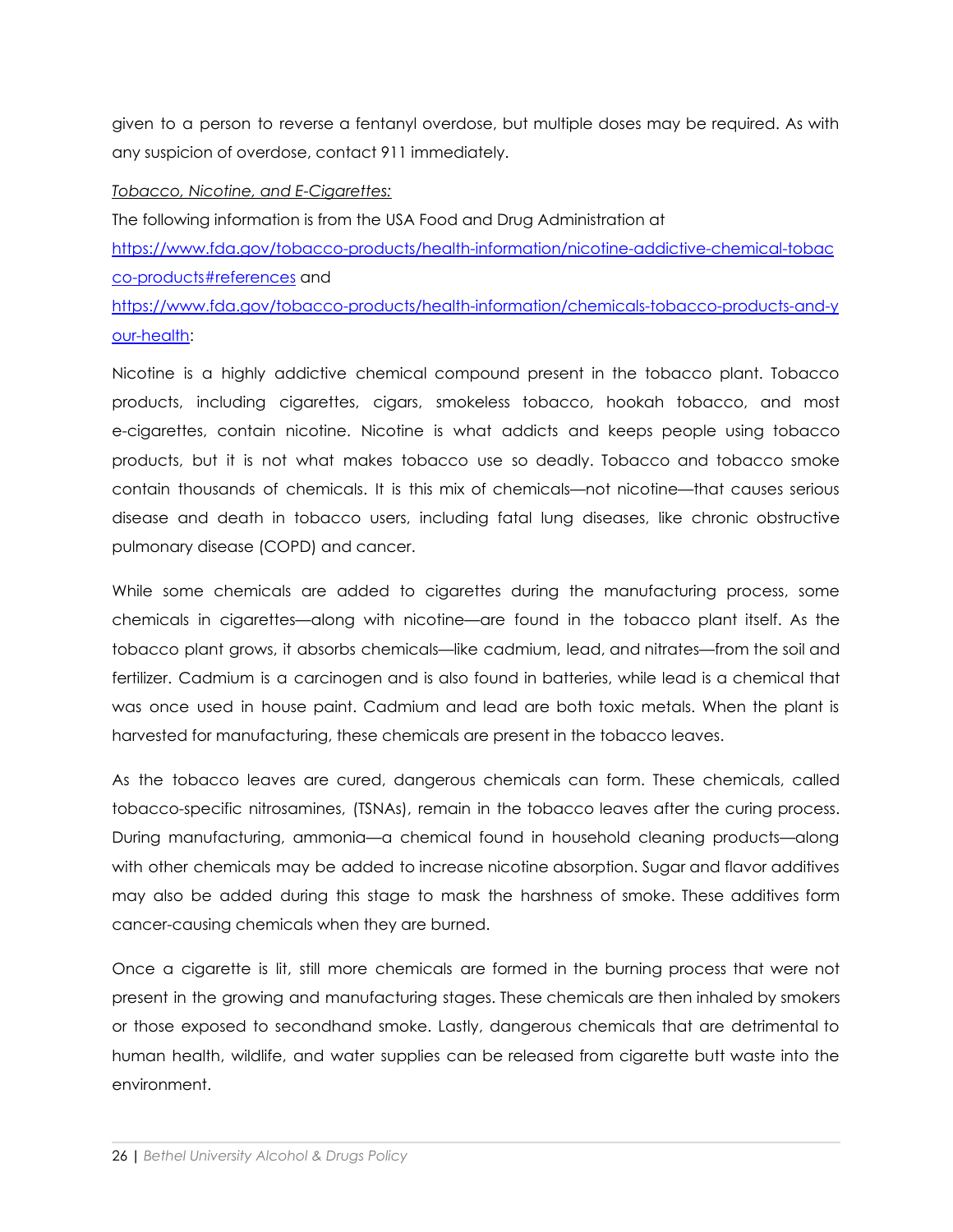given to a person to reverse a fentanyl overdose, but multiple doses may be required. As with any suspicion of overdose, contact 911 immediately.

#### *Tobacco, Nicotine, and E-Cigarettes:*

The following information is from the USA Food and Drug Administration at [https://www.fda.gov/tobacco-products/health-information/nicotine-addictive-chemical-tobac](https://www.fda.gov/tobacco-products/health-information/nicotine-addictive-chemical-tobacco-products#references) [co-products#references](https://www.fda.gov/tobacco-products/health-information/nicotine-addictive-chemical-tobacco-products#references) and

[https://www.fda.gov/tobacco-products/health-information/chemicals-tobacco-products-and-y](https://www.fda.gov/tobacco-products/health-information/chemicals-tobacco-products-and-your-health) [our-health:](https://www.fda.gov/tobacco-products/health-information/chemicals-tobacco-products-and-your-health)

Nicotine is a highly addictive chemical compound present in the tobacco plant. Tobacco products, including cigarettes, cigars, smokeless tobacco, hookah tobacco, and most e-cigarettes, contain nicotine. Nicotine is what addicts and keeps people using tobacco products, but it is not what makes tobacco use so deadly. Tobacco and tobacco smoke contain thousands of chemicals. It is this mix of chemicals—not nicotine—that causes serious disease and death in tobacco users, including fatal lung diseases, like chronic obstructive pulmonary disease (COPD) and cancer.

While some chemicals are added to cigarettes during the manufacturing process, some chemicals in cigarettes—along with nicotine—are found in the tobacco plant itself. As the tobacco plant grows, it absorbs chemicals—like cadmium, lead, and nitrates—from the soil and fertilizer. Cadmium is a carcinogen and is also found in batteries, while lead is a chemical that was once used in house paint. Cadmium and lead are both toxic metals. When the plant is harvested for manufacturing, these chemicals are present in the tobacco leaves.

As the tobacco leaves are cured, dangerous chemicals can form. These chemicals, called tobacco-specific nitrosamines, (TSNAs), remain in the tobacco leaves after the curing process. During manufacturing, ammonia—a chemical found in household cleaning products—along with other chemicals may be added to increase nicotine absorption. Sugar and flavor additives may also be added during this stage to mask the harshness of smoke. These additives form cancer-causing chemicals when they are burned.

Once a cigarette is lit, still more chemicals are formed in the burning process that were not present in the growing and manufacturing stages. These chemicals are then inhaled by smokers or those exposed to secondhand smoke. Lastly, dangerous chemicals that are detrimental to human health, wildlife, and water supplies can be released from cigarette butt waste into the environment.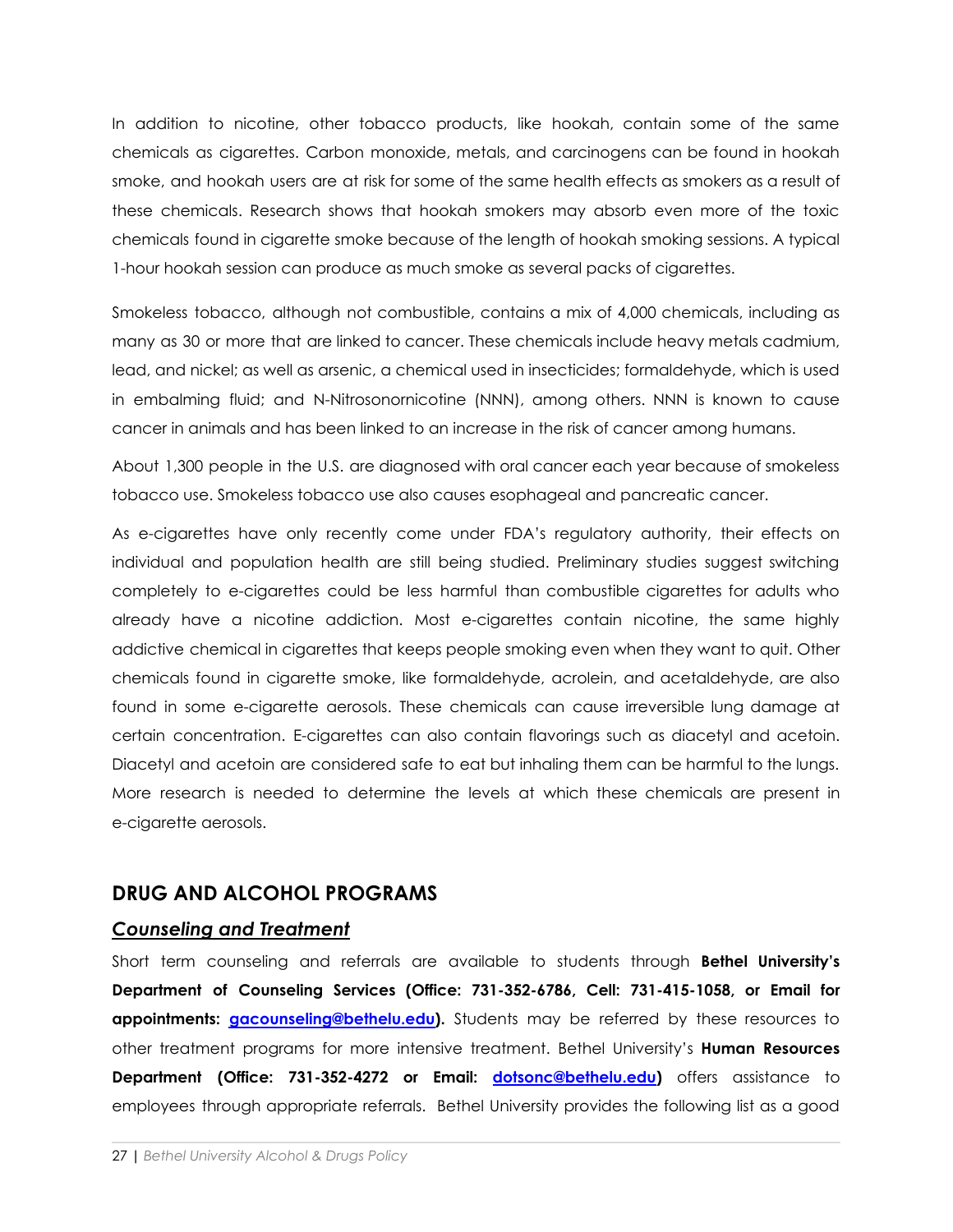In addition to nicotine, other tobacco products, like hookah, contain some of the same chemicals as cigarettes. Carbon monoxide, metals, and carcinogens can be found in hookah smoke, and hookah users are at risk for some of the same health effects as smokers as a result of these chemicals. Research shows that hookah smokers may absorb even more of the toxic chemicals found in cigarette smoke because of the length of hookah smoking sessions. A typical 1-hour hookah session can produce as much smoke as several packs of cigarettes.

Smokeless tobacco, although not combustible, contains a mix of 4,000 chemicals, including as many as 30 or more that are linked to cancer. These chemicals include heavy metals cadmium, lead, and nickel; as well as arsenic, a chemical used in insecticides; formaldehyde, which is used in embalming fluid; and N-Nitrosonornicotine (NNN), among others. NNN is known to cause cancer in animals and has been linked to an increase in the risk of cancer among humans.

About 1,300 people in the U.S. are diagnosed with oral cancer each year because of smokeless tobacco use. Smokeless tobacco use also causes esophageal and pancreatic cancer.

As e-cigarettes have only recently come under FDA's regulatory authority, their effects on individual and population health are still being studied. Preliminary studies suggest switching completely to e-cigarettes could be less harmful than combustible cigarettes for adults who already have a nicotine addiction. Most e-cigarettes contain nicotine, the same highly addictive chemical in cigarettes that keeps people smoking even when they want to quit. Other chemicals found in cigarette smoke, like formaldehyde, acrolein, and acetaldehyde, are also found in some e-cigarette aerosols. These chemicals can cause irreversible lung damage at certain concentration. E-cigarettes can also contain flavorings such as diacetyl and acetoin. Diacetyl and acetoin are considered safe to eat but inhaling them can be harmful to the lungs. More research is needed to determine the levels at which these chemicals are present in e-cigarette aerosols.

# **DRUG AND ALCOHOL PROGRAMS**

### *Counseling and Treatment*

Short term counseling and referrals are available to students through **Bethel University's Department of Counseling Services (Office: 731-352-6786, Cell: 731-415-1058, or Email for appointments: [gacounseling@bethelu.edu\)](mailto:gacounseling@bethelu.edu).** Students may be referred by these resources to other treatment programs for more intensive treatment. Bethel University's **Human Resources Department (Office: 731-352-4272 or Email: [dotsonc@bethelu.edu\)](mailto:dotsonc@bethelu.edu)** offers assistance to employees through appropriate referrals. Bethel University provides the following list as a good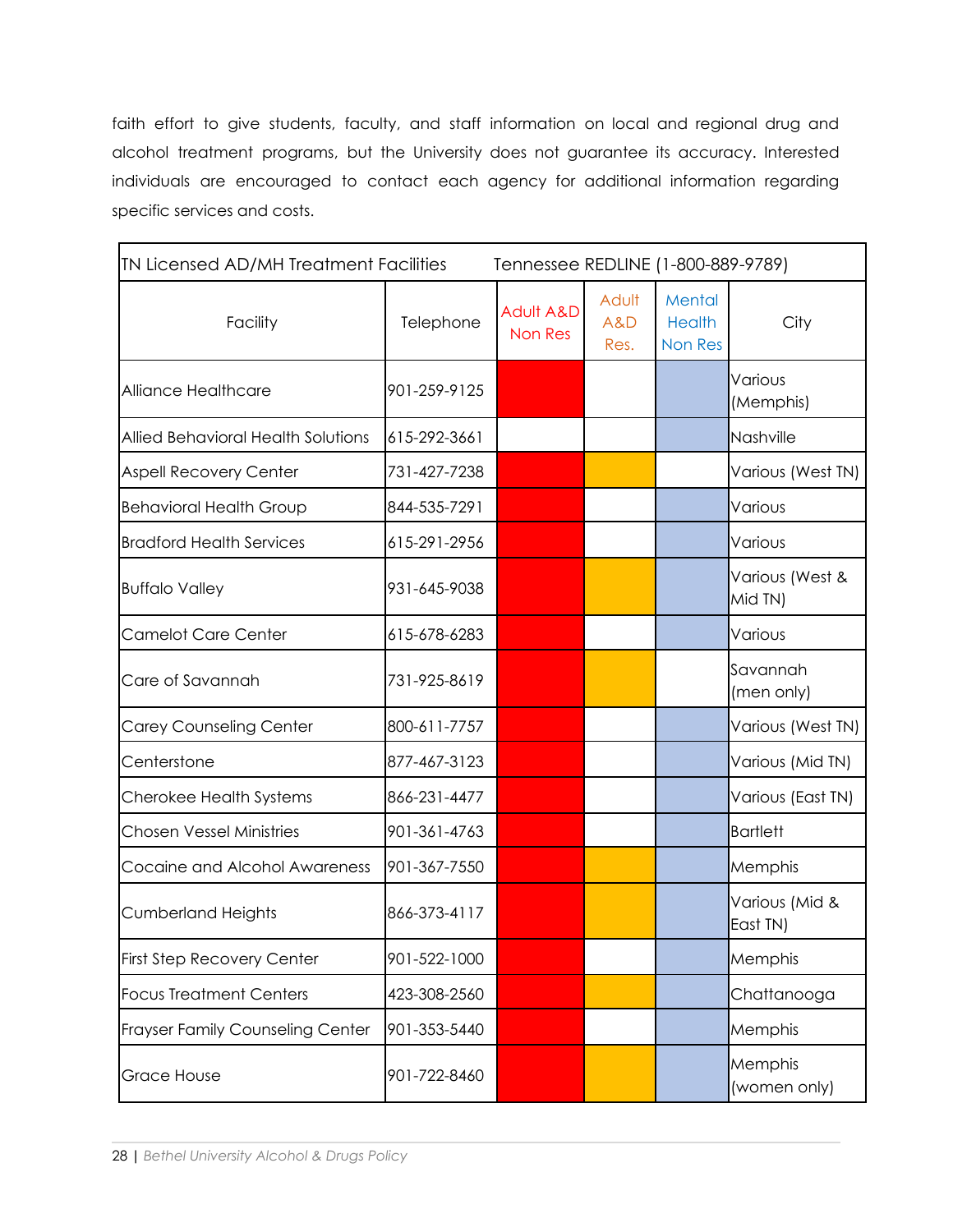faith effort to give students, faculty, and staff information on local and regional drug and alcohol treatment programs, but the University does not guarantee its accuracy. Interested individuals are encouraged to contact each agency for additional information regarding specific services and costs.

| <b>IN Licensed AD/MH Treatment Facilities</b> |              | Tennessee REDLINE (1-800-889-9789) |                      |                                    |                            |
|-----------------------------------------------|--------------|------------------------------------|----------------------|------------------------------------|----------------------------|
| Facility                                      | Telephone    | <b>Adult A&amp;D</b><br>Non Res    | Adult<br>A&D<br>Res. | Mental<br><b>Health</b><br>Non Res | City                       |
| Alliance Healthcare                           | 901-259-9125 |                                    |                      |                                    | Various<br>(Memphis)       |
| Allied Behavioral Health Solutions            | 615-292-3661 |                                    |                      |                                    | Nashville                  |
| <b>Aspell Recovery Center</b>                 | 731-427-7238 |                                    |                      |                                    | Various (West TN)          |
| <b>Behavioral Health Group</b>                | 844-535-7291 |                                    |                      |                                    | Various                    |
| <b>Bradford Health Services</b>               | 615-291-2956 |                                    |                      |                                    | Various                    |
| <b>Buffalo Valley</b>                         | 931-645-9038 |                                    |                      |                                    | Various (West &<br>Mid TN) |
| <b>Camelot Care Center</b>                    | 615-678-6283 |                                    |                      |                                    | Various                    |
| Care of Savannah                              | 731-925-8619 |                                    |                      |                                    | Savannah<br>(men only)     |
| <b>Carey Counseling Center</b>                | 800-611-7757 |                                    |                      |                                    | Various (West TN)          |
| Centerstone                                   | 877-467-3123 |                                    |                      |                                    | Various (Mid TN)           |
| Cherokee Health Systems                       | 866-231-4477 |                                    |                      |                                    | Various (East TN)          |
| <b>Chosen Vessel Ministries</b>               | 901-361-4763 |                                    |                      |                                    | <b>Bartlett</b>            |
| Cocaine and Alcohol Awareness                 | 901-367-7550 |                                    |                      |                                    | Memphis                    |
| <b>Cumberland Heights</b>                     | 866-373-4117 |                                    |                      |                                    | Various (Mid &<br>East TN) |
| <b>First Step Recovery Center</b>             | 901-522-1000 |                                    |                      |                                    | Memphis                    |
| <b>Focus Treatment Centers</b>                | 423-308-2560 |                                    |                      |                                    | Chattanooga                |
| <b>Frayser Family Counseling Center</b>       | 901-353-5440 |                                    |                      |                                    | Memphis                    |
| <b>Grace House</b>                            | 901-722-8460 |                                    |                      |                                    | Memphis<br>(women only)    |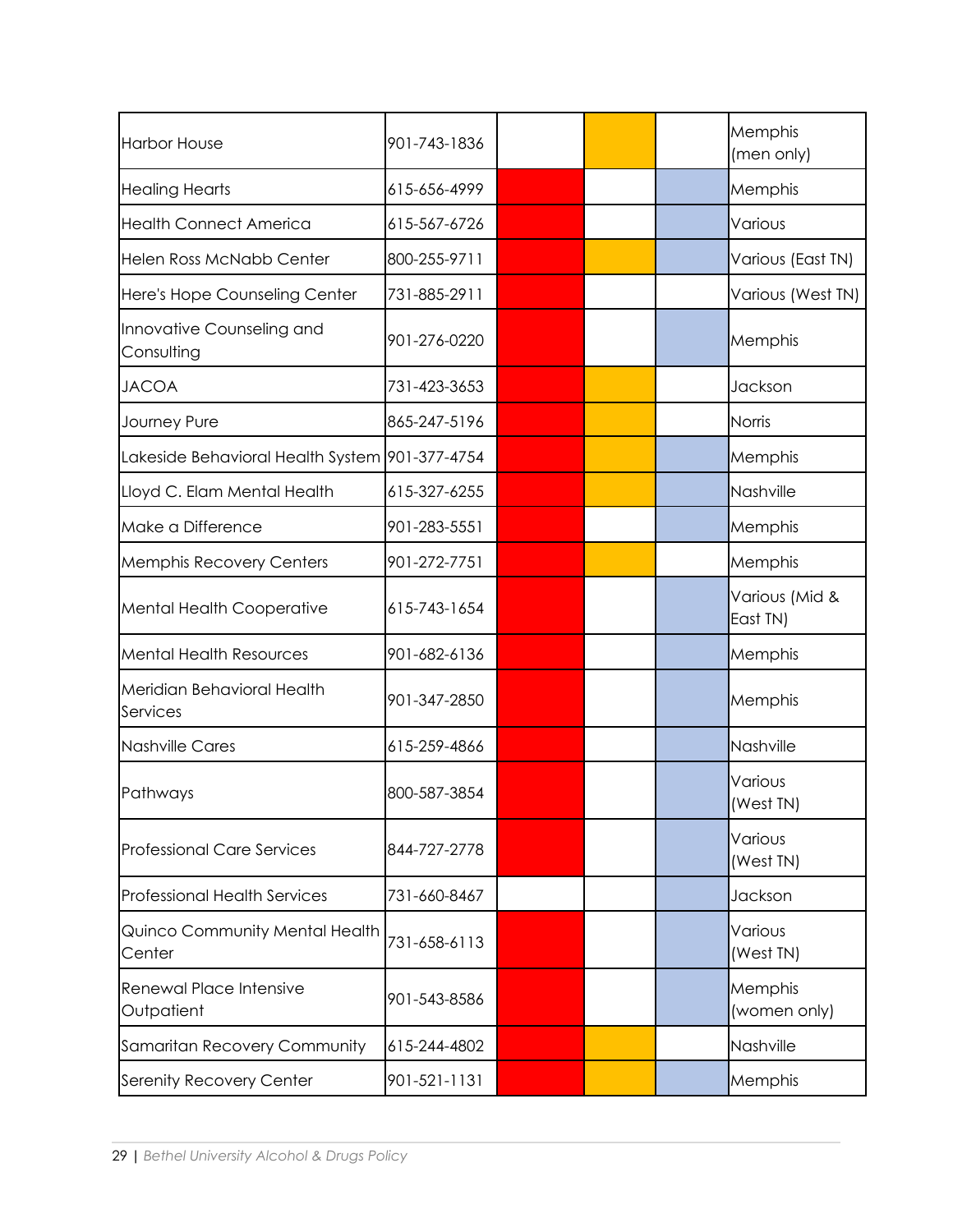| <b>Harbor House</b>                            | 901-743-1836 |  | Memphis<br>(men only)      |
|------------------------------------------------|--------------|--|----------------------------|
| Healing Hearts                                 | 615-656-4999 |  | Memphis                    |
| Health Connect America                         | 615-567-6726 |  | Various                    |
| <b>Helen Ross McNabb Center</b>                | 800-255-9711 |  | Various (East TN)          |
| Here's Hope Counseling Center                  | 731-885-2911 |  | Various (West TN)          |
| Innovative Counseling and<br>Consulting        | 901-276-0220 |  | Memphis                    |
| <b>JACOA</b>                                   | 731-423-3653 |  | Jackson                    |
| Journey Pure                                   | 865-247-5196 |  | Norris                     |
| Lakeside Behavioral Health System 901-377-4754 |              |  | Memphis                    |
| Lloyd C. Elam Mental Health                    | 615-327-6255 |  | Nashville                  |
| Make a Difference                              | 901-283-5551 |  | Memphis                    |
| <b>Memphis Recovery Centers</b>                | 901-272-7751 |  | Memphis                    |
| Mental Health Cooperative                      | 615-743-1654 |  | Various (Mid &<br>East TN) |
| <b>Mental Health Resources</b>                 | 901-682-6136 |  | Memphis                    |
| Meridian Behavioral Health<br>Services         | 901-347-2850 |  | Memphis                    |
| Nashville Cares                                | 615-259-4866 |  | Nashville                  |
| Pathways                                       | 800-587-3854 |  | Various<br>(West TN)       |
| Professional Care Services                     | 844-727-2778 |  | Various<br>(West TN)       |
| <b>Professional Health Services</b>            | 731-660-8467 |  | Jackson                    |
| Quinco Community Mental Health<br>Center       | 731-658-6113 |  | Various<br>(West TN)       |
| <b>Renewal Place Intensive</b><br>Outpatient   | 901-543-8586 |  | Memphis<br>(women only)    |
| Samaritan Recovery Community                   | 615-244-4802 |  | Nashville                  |
| Serenity Recovery Center                       | 901-521-1131 |  | Memphis                    |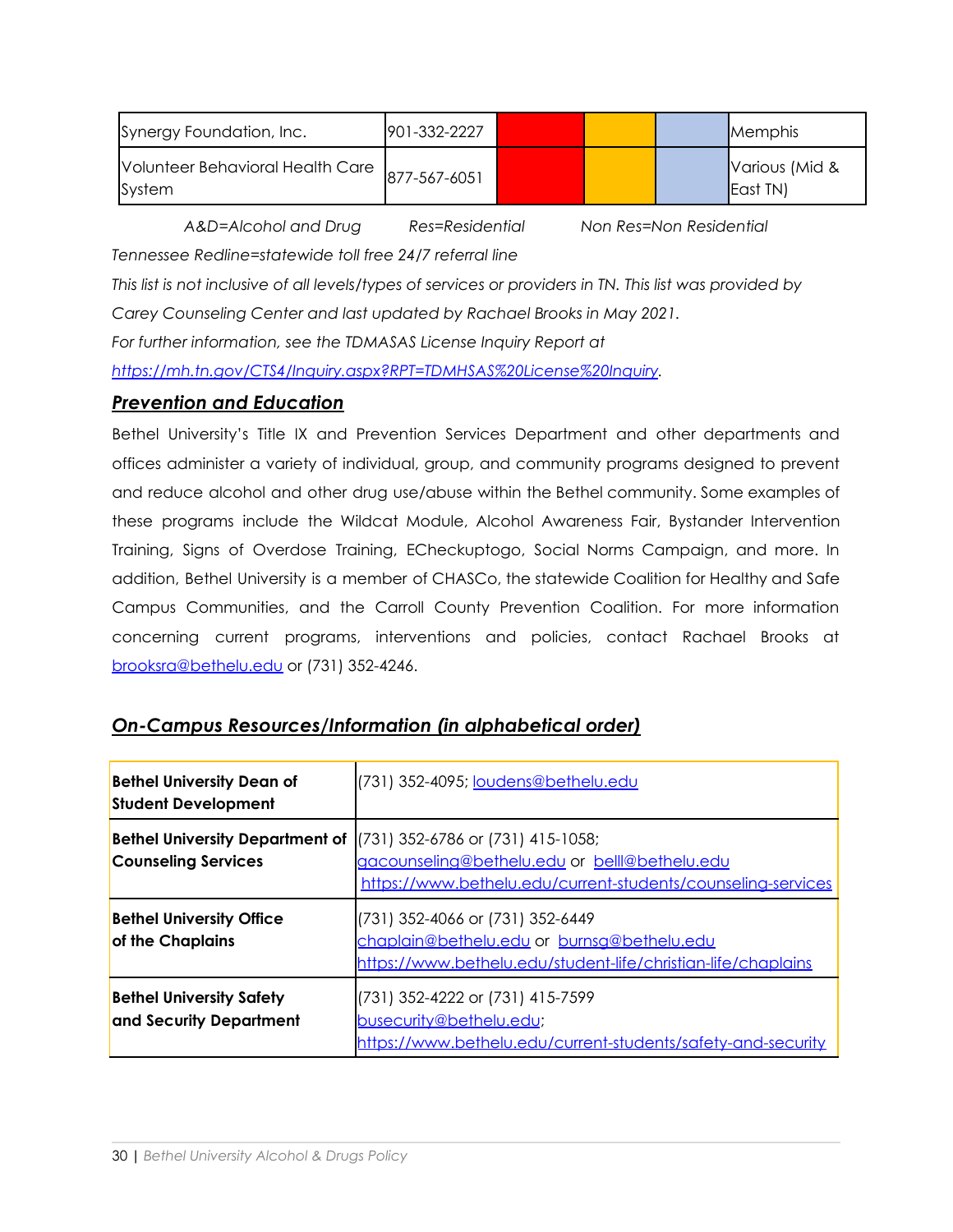| Synergy Foundation, Inc.                                | 1901-332-2227 |  | Memphis                    |
|---------------------------------------------------------|---------------|--|----------------------------|
| Nolunteer Behavioral Health Care 877-567-6051<br>System |               |  | Various (Mid &<br>East TN) |

*A&D=Alcohol and Drug Res=Residential Non Res=Non Residential*

*Tennessee Redline=statewide toll free 24/7 referral line*

This list is not inclusive of all levels/types of services or providers in TN. This list was provided by

*Carey Counseling Center and last updated by Rachael Brooks in May 2021.*

*For further information, see the TDMASAS License Inquiry Report at*

*<https://mh.tn.gov/CTS4/Inquiry.aspx?RPT=TDMHSAS%20License%20Inquiry>.*

# *Prevention and Education*

Bethel University's Title IX and Prevention Services Department and other departments and offices administer a variety of individual, group, and community programs designed to prevent and reduce alcohol and other drug use/abuse within the Bethel community. Some examples of these programs include the Wildcat Module, Alcohol Awareness Fair, Bystander Intervention Training, Signs of Overdose Training, ECheckuptogo, Social Norms Campaign, and more. In addition, Bethel University is a member of CHASCo, the statewide Coalition for Healthy and Safe Campus Communities, and the Carroll County Prevention Coalition. For more information concerning current programs, interventions and policies, contact Rachael Brooks at [brooksra@bethelu.edu](mailto:brooksra@bethelu.edu) or (731) 352-4246.

| <b>Bethel University Dean of</b><br><b>Student Development</b>       | (731) 352-4095; loudens@bethelu.edu                                                                                                                    |
|----------------------------------------------------------------------|--------------------------------------------------------------------------------------------------------------------------------------------------------|
| <b>Bethel University Department of</b><br><b>Counseling Services</b> | $(731)$ 352-6786 or $(731)$ 415-1058;<br>gacounseling@bethelu.edu or belll@bethelu.edu<br>https://www.bethelu.edu/current-students/counseling-services |
| <b>Bethel University Office</b><br>of the Chaplains                  | (731) 352-4066 or (731) 352-6449<br>chaplain@bethelu.edu or burnsg@bethelu.edu<br>https://www.bethelu.edu/student-life/christian-life/chaplains        |
| <b>Bethel University Safety</b><br>and Security Department           | (731) 352-4222 or (731) 415-7599<br>busecurity@bethelu.edu;<br>https://www.bethelu.edu/current-students/safety-and-security                            |

# *On-Campus Resources/Information (in alphabetical order)*